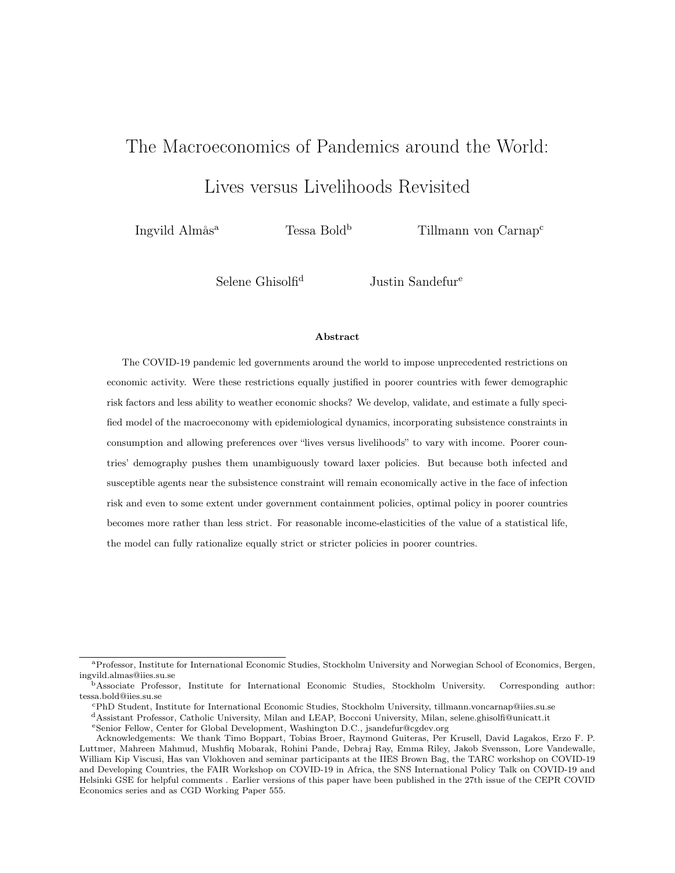# The Macroeconomics of Pandemics around the World: Lives versus Livelihoods Revisited

Ingvild Almås<sup>a</sup> Tessa Bold<sup>b</sup> Tillmann von Carnap<sup>c</sup>

Selene Ghisolfi<sup>d</sup> Justin Sandefur<sup>e</sup>

#### Abstract

The COVID-19 pandemic led governments around the world to impose unprecedented restrictions on economic activity. Were these restrictions equally justified in poorer countries with fewer demographic risk factors and less ability to weather economic shocks? We develop, validate, and estimate a fully specified model of the macroeconomy with epidemiological dynamics, incorporating subsistence constraints in consumption and allowing preferences over "lives versus livelihoods" to vary with income. Poorer countries' demography pushes them unambiguously toward laxer policies. But because both infected and susceptible agents near the subsistence constraint will remain economically active in the face of infection risk and even to some extent under government containment policies, optimal policy in poorer countries becomes more rather than less strict. For reasonable income-elasticities of the value of a statistical life, the model can fully rationalize equally strict or stricter policies in poorer countries.

<sup>a</sup>Professor, Institute for International Economic Studies, Stockholm University and Norwegian School of Economics, Bergen, ingvild.almas@iies.su.se

<sup>b</sup>Associate Professor, Institute for International Economic Studies, Stockholm University. Corresponding author: tessa.bold@iies.su.se

<sup>c</sup>PhD Student, Institute for International Economic Studies, Stockholm University, tillmann.voncarnap@iies.su.se

<sup>d</sup>Assistant Professor, Catholic University, Milan and LEAP, Bocconi University, Milan, selene.ghisolfi@unicatt.it

<sup>e</sup>Senior Fellow, Center for Global Development, Washington D.C., jsandefur@cgdev.org

Acknowledgements: We thank Timo Boppart, Tobias Broer, Raymond Guiteras, Per Krusell, David Lagakos, Erzo F. P. Luttmer, Mahreen Mahmud, Mushfiq Mobarak, Rohini Pande, Debraj Ray, Emma Riley, Jakob Svensson, Lore Vandewalle, William Kip Viscusi, Has van Vlokhoven and seminar participants at the IIES Brown Bag, the TARC workshop on COVID-19 and Developing Countries, the FAIR Workshop on COVID-19 in Africa, the SNS International Policy Talk on COVID-19 and Helsinki GSE for helpful comments . Earlier versions of this paper have been published in the 27th issue of the CEPR COVID Economics series and as CGD Working Paper 555.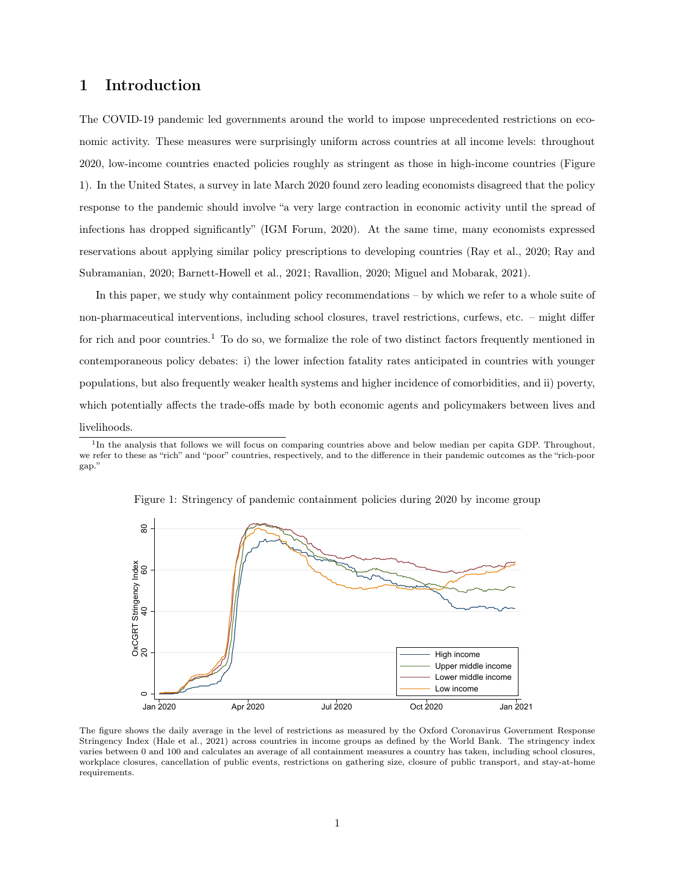## 1 Introduction

The COVID-19 pandemic led governments around the world to impose unprecedented restrictions on economic activity. These measures were surprisingly uniform across countries at all income levels: throughout 2020, low-income countries enacted policies roughly as stringent as those in high-income countries (Figure 1). In the United States, a survey in late March 2020 found zero leading economists disagreed that the policy response to the pandemic should involve "a very large contraction in economic activity until the spread of infections has dropped significantly" (IGM Forum, 2020). At the same time, many economists expressed reservations about applying similar policy prescriptions to developing countries (Ray et al., 2020; Ray and Subramanian, 2020; Barnett-Howell et al., 2021; Ravallion, 2020; Miguel and Mobarak, 2021).

In this paper, we study why containment policy recommendations – by which we refer to a whole suite of non-pharmaceutical interventions, including school closures, travel restrictions, curfews, etc. – might differ for rich and poor countries.<sup>1</sup> To do so, we formalize the role of two distinct factors frequently mentioned in contemporaneous policy debates: i) the lower infection fatality rates anticipated in countries with younger populations, but also frequently weaker health systems and higher incidence of comorbidities, and ii) poverty, which potentially affects the trade-offs made by both economic agents and policymakers between lives and livelihoods.

<sup>1</sup>In the analysis that follows we will focus on comparing countries above and below median per capita GDP. Throughout, we refer to these as "rich" and "poor" countries, respectively, and to the difference in their pandemic outcomes as the "rich-poor gap."



Figure 1: Stringency of pandemic containment policies during 2020 by income group

The figure shows the daily average in the level of restrictions as measured by the Oxford Coronavirus Government Response Stringency Index (Hale et al., 2021) across countries in income groups as defined by the World Bank. The stringency index varies between 0 and 100 and calculates an average of all containment measures a country has taken, including school closures, workplace closures, cancellation of public events, restrictions on gathering size, closure of public transport, and stay-at-home requirements.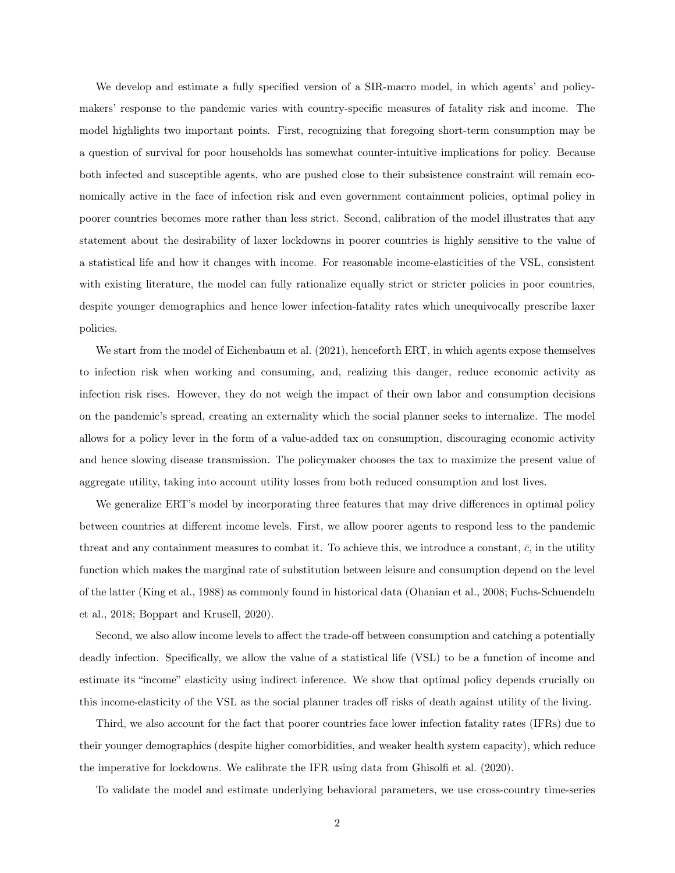We develop and estimate a fully specified version of a SIR-macro model, in which agents' and policymakers' response to the pandemic varies with country-specific measures of fatality risk and income. The model highlights two important points. First, recognizing that foregoing short-term consumption may be a question of survival for poor households has somewhat counter-intuitive implications for policy. Because both infected and susceptible agents, who are pushed close to their subsistence constraint will remain economically active in the face of infection risk and even government containment policies, optimal policy in poorer countries becomes more rather than less strict. Second, calibration of the model illustrates that any statement about the desirability of laxer lockdowns in poorer countries is highly sensitive to the value of a statistical life and how it changes with income. For reasonable income-elasticities of the VSL, consistent with existing literature, the model can fully rationalize equally strict or stricter policies in poor countries, despite younger demographics and hence lower infection-fatality rates which unequivocally prescribe laxer policies.

We start from the model of Eichenbaum et al.  $(2021)$ , henceforth ERT, in which agents expose themselves to infection risk when working and consuming, and, realizing this danger, reduce economic activity as infection risk rises. However, they do not weigh the impact of their own labor and consumption decisions on the pandemic's spread, creating an externality which the social planner seeks to internalize. The model allows for a policy lever in the form of a value-added tax on consumption, discouraging economic activity and hence slowing disease transmission. The policymaker chooses the tax to maximize the present value of aggregate utility, taking into account utility losses from both reduced consumption and lost lives.

We generalize ERT's model by incorporating three features that may drive differences in optimal policy between countries at different income levels. First, we allow poorer agents to respond less to the pandemic threat and any containment measures to combat it. To achieve this, we introduce a constant,  $\bar{c}$ , in the utility function which makes the marginal rate of substitution between leisure and consumption depend on the level of the latter (King et al., 1988) as commonly found in historical data (Ohanian et al., 2008; Fuchs-Schuendeln et al., 2018; Boppart and Krusell, 2020).

Second, we also allow income levels to affect the trade-off between consumption and catching a potentially deadly infection. Specifically, we allow the value of a statistical life (VSL) to be a function of income and estimate its "income" elasticity using indirect inference. We show that optimal policy depends crucially on this income-elasticity of the VSL as the social planner trades off risks of death against utility of the living.

Third, we also account for the fact that poorer countries face lower infection fatality rates (IFRs) due to their younger demographics (despite higher comorbidities, and weaker health system capacity), which reduce the imperative for lockdowns. We calibrate the IFR using data from Ghisolfi et al. (2020).

To validate the model and estimate underlying behavioral parameters, we use cross-country time-series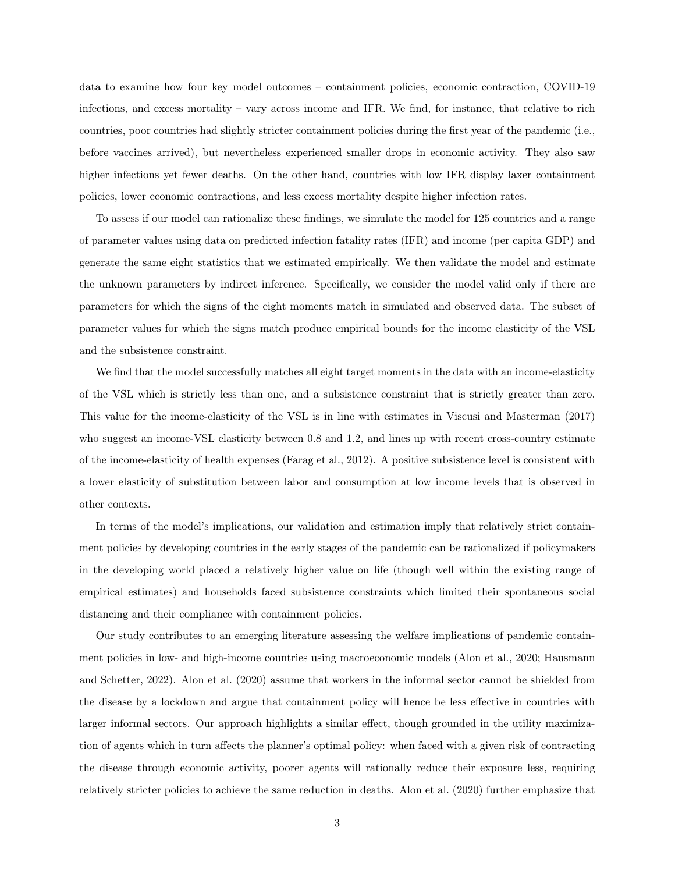data to examine how four key model outcomes – containment policies, economic contraction, COVID-19 infections, and excess mortality – vary across income and IFR. We find, for instance, that relative to rich countries, poor countries had slightly stricter containment policies during the first year of the pandemic (i.e., before vaccines arrived), but nevertheless experienced smaller drops in economic activity. They also saw higher infections yet fewer deaths. On the other hand, countries with low IFR display laxer containment policies, lower economic contractions, and less excess mortality despite higher infection rates.

To assess if our model can rationalize these findings, we simulate the model for 125 countries and a range of parameter values using data on predicted infection fatality rates (IFR) and income (per capita GDP) and generate the same eight statistics that we estimated empirically. We then validate the model and estimate the unknown parameters by indirect inference. Specifically, we consider the model valid only if there are parameters for which the signs of the eight moments match in simulated and observed data. The subset of parameter values for which the signs match produce empirical bounds for the income elasticity of the VSL and the subsistence constraint.

We find that the model successfully matches all eight target moments in the data with an income-elasticity of the VSL which is strictly less than one, and a subsistence constraint that is strictly greater than zero. This value for the income-elasticity of the VSL is in line with estimates in Viscusi and Masterman (2017) who suggest an income-VSL elasticity between 0.8 and 1.2, and lines up with recent cross-country estimate of the income-elasticity of health expenses (Farag et al., 2012). A positive subsistence level is consistent with a lower elasticity of substitution between labor and consumption at low income levels that is observed in other contexts.

In terms of the model's implications, our validation and estimation imply that relatively strict containment policies by developing countries in the early stages of the pandemic can be rationalized if policymakers in the developing world placed a relatively higher value on life (though well within the existing range of empirical estimates) and households faced subsistence constraints which limited their spontaneous social distancing and their compliance with containment policies.

Our study contributes to an emerging literature assessing the welfare implications of pandemic containment policies in low- and high-income countries using macroeconomic models (Alon et al., 2020; Hausmann and Schetter, 2022). Alon et al. (2020) assume that workers in the informal sector cannot be shielded from the disease by a lockdown and argue that containment policy will hence be less effective in countries with larger informal sectors. Our approach highlights a similar effect, though grounded in the utility maximization of agents which in turn affects the planner's optimal policy: when faced with a given risk of contracting the disease through economic activity, poorer agents will rationally reduce their exposure less, requiring relatively stricter policies to achieve the same reduction in deaths. Alon et al. (2020) further emphasize that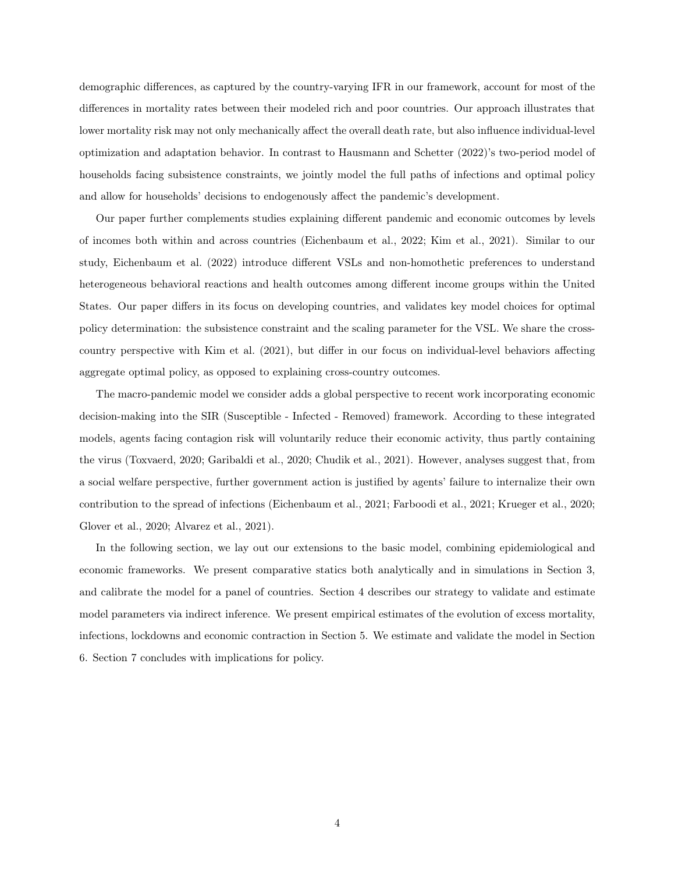demographic differences, as captured by the country-varying IFR in our framework, account for most of the differences in mortality rates between their modeled rich and poor countries. Our approach illustrates that lower mortality risk may not only mechanically affect the overall death rate, but also influence individual-level optimization and adaptation behavior. In contrast to Hausmann and Schetter (2022)'s two-period model of households facing subsistence constraints, we jointly model the full paths of infections and optimal policy and allow for households' decisions to endogenously affect the pandemic's development.

Our paper further complements studies explaining different pandemic and economic outcomes by levels of incomes both within and across countries (Eichenbaum et al., 2022; Kim et al., 2021). Similar to our study, Eichenbaum et al. (2022) introduce different VSLs and non-homothetic preferences to understand heterogeneous behavioral reactions and health outcomes among different income groups within the United States. Our paper differs in its focus on developing countries, and validates key model choices for optimal policy determination: the subsistence constraint and the scaling parameter for the VSL. We share the crosscountry perspective with Kim et al. (2021), but differ in our focus on individual-level behaviors affecting aggregate optimal policy, as opposed to explaining cross-country outcomes.

The macro-pandemic model we consider adds a global perspective to recent work incorporating economic decision-making into the SIR (Susceptible - Infected - Removed) framework. According to these integrated models, agents facing contagion risk will voluntarily reduce their economic activity, thus partly containing the virus (Toxvaerd, 2020; Garibaldi et al., 2020; Chudik et al., 2021). However, analyses suggest that, from a social welfare perspective, further government action is justified by agents' failure to internalize their own contribution to the spread of infections (Eichenbaum et al., 2021; Farboodi et al., 2021; Krueger et al., 2020; Glover et al., 2020; Alvarez et al., 2021).

In the following section, we lay out our extensions to the basic model, combining epidemiological and economic frameworks. We present comparative statics both analytically and in simulations in Section 3, and calibrate the model for a panel of countries. Section 4 describes our strategy to validate and estimate model parameters via indirect inference. We present empirical estimates of the evolution of excess mortality, infections, lockdowns and economic contraction in Section 5. We estimate and validate the model in Section 6. Section 7 concludes with implications for policy.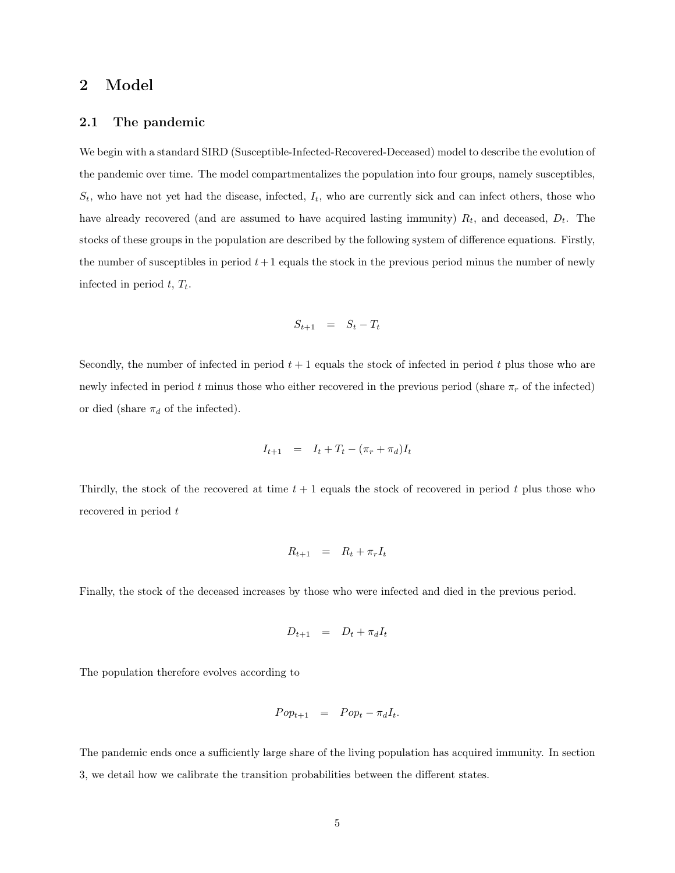## 2 Model

#### 2.1 The pandemic

We begin with a standard SIRD (Susceptible-Infected-Recovered-Deceased) model to describe the evolution of the pandemic over time. The model compartmentalizes the population into four groups, namely susceptibles,  $S_t$ , who have not yet had the disease, infected,  $I_t$ , who are currently sick and can infect others, those who have already recovered (and are assumed to have acquired lasting immunity)  $R_t$ , and deceased,  $D_t$ . The stocks of these groups in the population are described by the following system of difference equations. Firstly, the number of susceptibles in period  $t+1$  equals the stock in the previous period minus the number of newly infected in period  $t, T_t$ .

$$
S_{t+1} = S_t - T_t
$$

Secondly, the number of infected in period  $t + 1$  equals the stock of infected in period t plus those who are newly infected in period t minus those who either recovered in the previous period (share  $\pi_r$  of the infected) or died (share  $\pi_d$  of the infected).

$$
I_{t+1} = I_t + T_t - (\pi_r + \pi_d)I_t
$$

Thirdly, the stock of the recovered at time  $t + 1$  equals the stock of recovered in period t plus those who recovered in period t

$$
R_{t+1} = R_t + \pi_r I_t
$$

Finally, the stock of the deceased increases by those who were infected and died in the previous period.

$$
D_{t+1} = D_t + \pi_d I_t
$$

The population therefore evolves according to

$$
Pop_{t+1} = Pop_t - \pi_d I_t.
$$

The pandemic ends once a sufficiently large share of the living population has acquired immunity. In section 3, we detail how we calibrate the transition probabilities between the different states.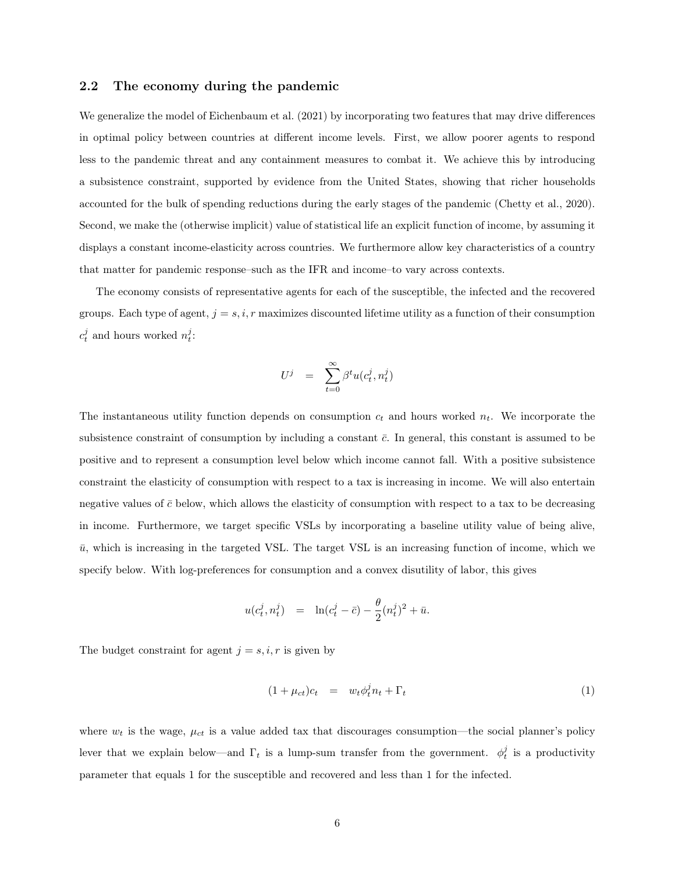### 2.2 The economy during the pandemic

We generalize the model of Eichenbaum et al. (2021) by incorporating two features that may drive differences in optimal policy between countries at different income levels. First, we allow poorer agents to respond less to the pandemic threat and any containment measures to combat it. We achieve this by introducing a subsistence constraint, supported by evidence from the United States, showing that richer households accounted for the bulk of spending reductions during the early stages of the pandemic (Chetty et al., 2020). Second, we make the (otherwise implicit) value of statistical life an explicit function of income, by assuming it displays a constant income-elasticity across countries. We furthermore allow key characteristics of a country that matter for pandemic response–such as the IFR and income–to vary across contexts.

The economy consists of representative agents for each of the susceptible, the infected and the recovered groups. Each type of agent,  $j = s, i, r$  maximizes discounted lifetime utility as a function of their consumption  $c_t^j$  and hours worked  $n_t^j$ :

$$
U^j \quad = \quad \sum_{t=0}^\infty \beta^t u(c^j_t, n^j_t)
$$

The instantaneous utility function depends on consumption  $c_t$  and hours worked  $n_t$ . We incorporate the subsistence constraint of consumption by including a constant  $\bar{c}$ . In general, this constant is assumed to be positive and to represent a consumption level below which income cannot fall. With a positive subsistence constraint the elasticity of consumption with respect to a tax is increasing in income. We will also entertain negative values of  $\bar{c}$  below, which allows the elasticity of consumption with respect to a tax to be decreasing in income. Furthermore, we target specific VSLs by incorporating a baseline utility value of being alive,  $\bar{u}$ , which is increasing in the targeted VSL. The target VSL is an increasing function of income, which we specify below. With log-preferences for consumption and a convex disutility of labor, this gives

$$
u(c_t^j, n_t^j) = \ln(c_t^j - \bar{c}) - \frac{\theta}{2}(n_t^j)^2 + \bar{u}.
$$

The budget constraint for agent  $j = s, i, r$  is given by

$$
(1 + \mu_{ct})c_t = w_t \phi_t^j n_t + \Gamma_t \tag{1}
$$

where  $w_t$  is the wage,  $\mu_{ct}$  is a value added tax that discourages consumption—the social planner's policy lever that we explain below—and  $\Gamma_t$  is a lump-sum transfer from the government.  $\phi_t^j$  is a productivity parameter that equals 1 for the susceptible and recovered and less than 1 for the infected.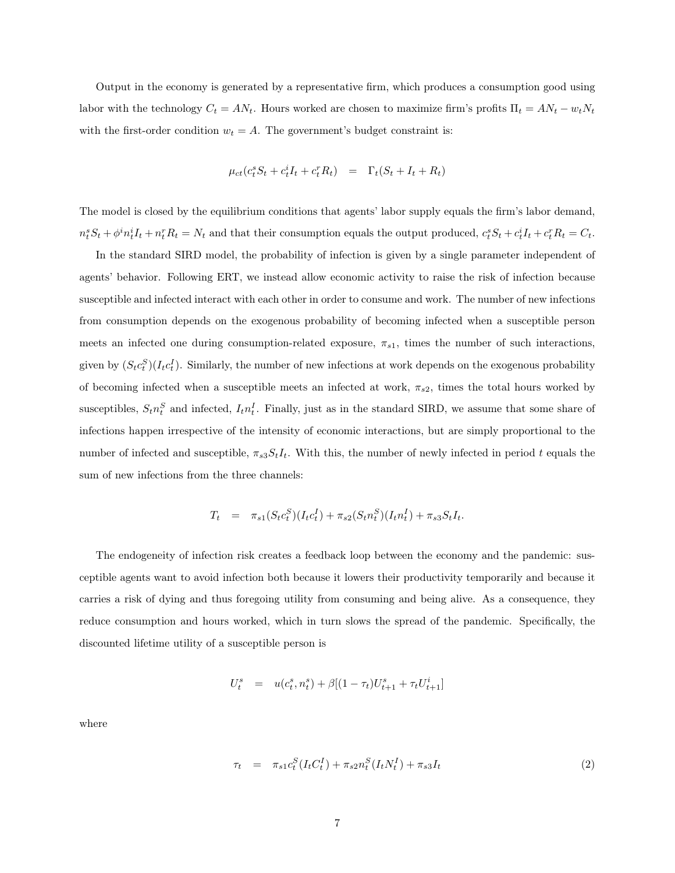Output in the economy is generated by a representative firm, which produces a consumption good using labor with the technology  $C_t = AN_t$ . Hours worked are chosen to maximize firm's profits  $\Pi_t = AN_t - w_tN_t$ with the first-order condition  $w_t = A$ . The government's budget constraint is:

$$
\mu_{ct}(c_t^s S_t + c_t^i I_t + c_t^r R_t) = \Gamma_t(S_t + I_t + R_t)
$$

The model is closed by the equilibrium conditions that agents' labor supply equals the firm's labor demand,  $n_t^s S_t + \phi^i n_t^i I_t + n_t^r R_t = N_t$  and that their consumption equals the output produced,  $c_t^s S_t + c_t^i I_t + c_t^r R_t = C_t$ .

In the standard SIRD model, the probability of infection is given by a single parameter independent of agents' behavior. Following ERT, we instead allow economic activity to raise the risk of infection because susceptible and infected interact with each other in order to consume and work. The number of new infections from consumption depends on the exogenous probability of becoming infected when a susceptible person meets an infected one during consumption-related exposure,  $\pi_{s1}$ , times the number of such interactions, given by  $(S_t c_t^S)(I_t c_t^I)$ . Similarly, the number of new infections at work depends on the exogenous probability of becoming infected when a susceptible meets an infected at work,  $\pi_{s2}$ , times the total hours worked by susceptibles,  $S_t n_t^S$  and infected,  $I_t n_t^I$ . Finally, just as in the standard SIRD, we assume that some share of infections happen irrespective of the intensity of economic interactions, but are simply proportional to the number of infected and susceptible,  $\pi_{s3}S_tI_t$ . With this, the number of newly infected in period t equals the sum of new infections from the three channels:

$$
T_t = \pi_{s1}(S_t c_t^S)(I_t c_t^I) + \pi_{s2}(S_t n_t^S)(I_t n_t^I) + \pi_{s3} S_t I_t.
$$

The endogeneity of infection risk creates a feedback loop between the economy and the pandemic: susceptible agents want to avoid infection both because it lowers their productivity temporarily and because it carries a risk of dying and thus foregoing utility from consuming and being alive. As a consequence, they reduce consumption and hours worked, which in turn slows the spread of the pandemic. Specifically, the discounted lifetime utility of a susceptible person is

$$
U_t^s = u(c_t^s, n_t^s) + \beta[(1 - \tau_t)U_{t+1}^s + \tau_t U_{t+1}^i]
$$

where

$$
\tau_t = \pi_{s1} c_t^S (I_t C_t^I) + \pi_{s2} n_t^S (I_t N_t^I) + \pi_{s3} I_t \tag{2}
$$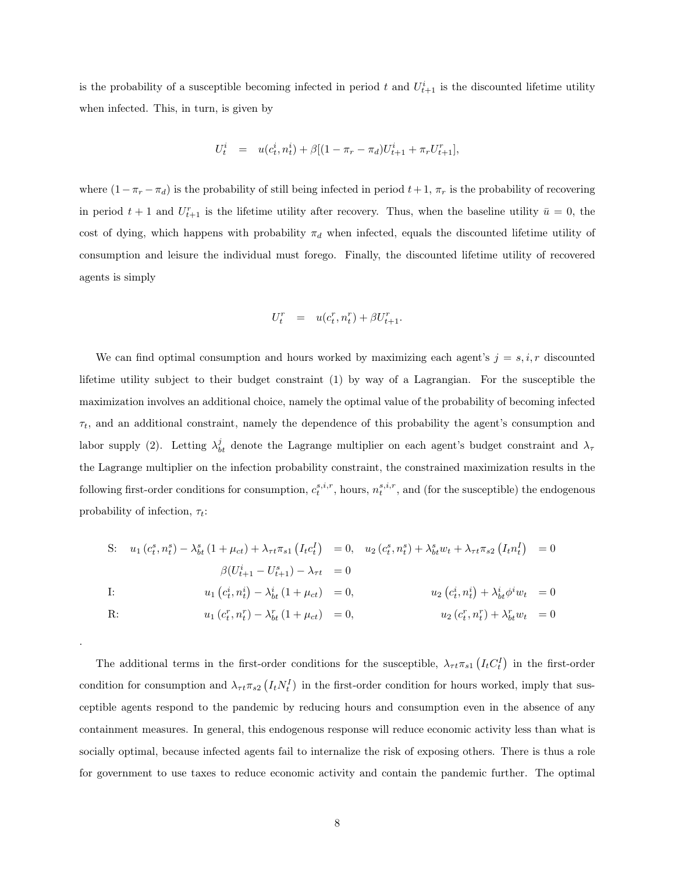is the probability of a susceptible becoming infected in period t and  $U_{t+1}^i$  is the discounted lifetime utility when infected. This, in turn, is given by

$$
U_t^i = u(c_t^i, n_t^i) + \beta[(1 - \pi_r - \pi_d)U_{t+1}^i + \pi_r U_{t+1}^r],
$$

where  $(1 - \pi_r - \pi_d)$  is the probability of still being infected in period  $t + 1$ ,  $\pi_r$  is the probability of recovering in period  $t + 1$  and  $U_{t+1}^r$  is the lifetime utility after recovery. Thus, when the baseline utility  $\bar{u} = 0$ , the cost of dying, which happens with probability  $\pi_d$  when infected, equals the discounted lifetime utility of consumption and leisure the individual must forego. Finally, the discounted lifetime utility of recovered agents is simply

$$
U_t^r = u(c_t^r, n_t^r) + \beta U_{t+1}^r.
$$

We can find optimal consumption and hours worked by maximizing each agent's  $j = s, i, r$  discounted lifetime utility subject to their budget constraint (1) by way of a Lagrangian. For the susceptible the maximization involves an additional choice, namely the optimal value of the probability of becoming infected  $\tau_t$ , and an additional constraint, namely the dependence of this probability the agent's consumption and labor supply (2). Letting  $\lambda_{bt}^j$  denote the Lagrange multiplier on each agent's budget constraint and  $\lambda_{\tau}$ the Lagrange multiplier on the infection probability constraint, the constrained maximization results in the following first-order conditions for consumption,  $c_t^{s,i,r}$ , hours,  $n_t^{s,i,r}$ , and (for the susceptible) the endogenous probability of infection,  $\tau_t$ :

S: 
$$
u_1(c_t^s, n_t^s) - \lambda_{bt}^s (1 + \mu_{ct}) + \lambda_{rt} \pi_{s1} (I_t c_t^I) = 0
$$
,  $u_2(c_t^s, n_t^s) + \lambda_{bt}^s w_t + \lambda_{rt} \pi_{s2} (I_t n_t^I) = 0$   
\n $\beta(U_{t+1}^i - U_{t+1}^s) - \lambda_{rt} = 0$   
\nI:  $u_1 (c_t^i, n_t^i) - \lambda_{bt}^i (1 + \mu_{ct}) = 0$ ,  $u_2 (c_t^i, n_t^i) + \lambda_{bt}^i \phi^i w_t = 0$   
\nR:  $u_1 (c_t^r, n_t^r) - \lambda_{bt}^r (1 + \mu_{ct}) = 0$ ,  $u_2 (c_t^r, n_t^r) + \lambda_{bt}^r w_t = 0$ 

.

The additional terms in the first-order conditions for the susceptible,  $\lambda_{\tau t}\pi_{s1}(I_t C_t^I)$  in the first-order condition for consumption and  $\lambda_{\tau t}\pi_{s2}(I_t N_t^I)$  in the first-order condition for hours worked, imply that susceptible agents respond to the pandemic by reducing hours and consumption even in the absence of any containment measures. In general, this endogenous response will reduce economic activity less than what is socially optimal, because infected agents fail to internalize the risk of exposing others. There is thus a role for government to use taxes to reduce economic activity and contain the pandemic further. The optimal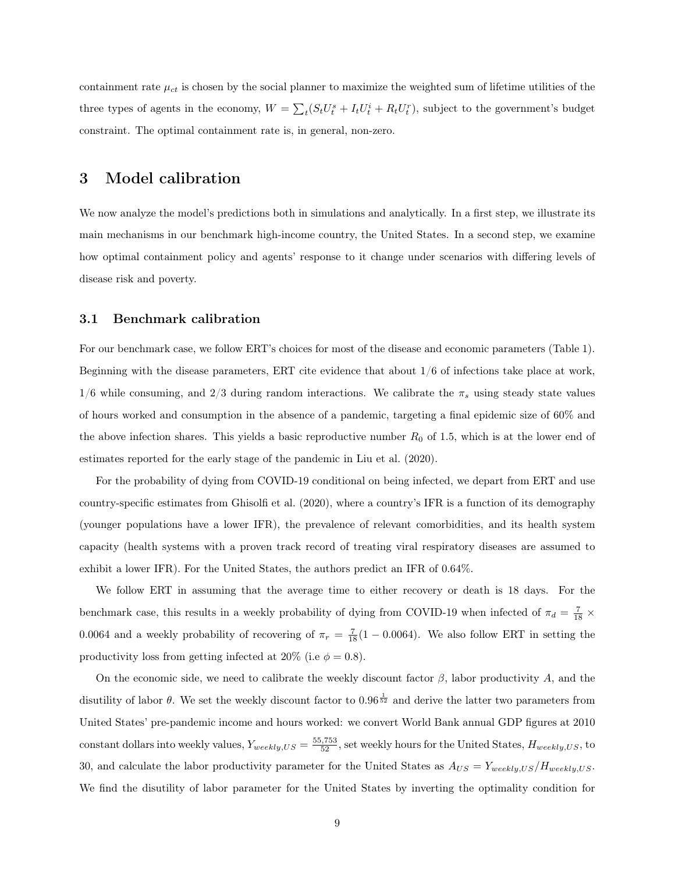containment rate  $\mu_{ct}$  is chosen by the social planner to maximize the weighted sum of lifetime utilities of the three types of agents in the economy,  $W = \sum_{t} (S_t U_t^s + I_t U_t^i + R_t U_t^r)$ , subject to the government's budget constraint. The optimal containment rate is, in general, non-zero.

## 3 Model calibration

We now analyze the model's predictions both in simulations and analytically. In a first step, we illustrate its main mechanisms in our benchmark high-income country, the United States. In a second step, we examine how optimal containment policy and agents' response to it change under scenarios with differing levels of disease risk and poverty.

### 3.1 Benchmark calibration

For our benchmark case, we follow ERT's choices for most of the disease and economic parameters (Table 1). Beginning with the disease parameters, ERT cite evidence that about 1/6 of infections take place at work,  $1/6$  while consuming, and  $2/3$  during random interactions. We calibrate the  $\pi_s$  using steady state values of hours worked and consumption in the absence of a pandemic, targeting a final epidemic size of 60% and the above infection shares. This yields a basic reproductive number  $R_0$  of 1.5, which is at the lower end of estimates reported for the early stage of the pandemic in Liu et al. (2020).

For the probability of dying from COVID-19 conditional on being infected, we depart from ERT and use country-specific estimates from Ghisolfi et al. (2020), where a country's IFR is a function of its demography (younger populations have a lower IFR), the prevalence of relevant comorbidities, and its health system capacity (health systems with a proven track record of treating viral respiratory diseases are assumed to exhibit a lower IFR). For the United States, the authors predict an IFR of 0.64%.

We follow ERT in assuming that the average time to either recovery or death is 18 days. For the benchmark case, this results in a weekly probability of dying from COVID-19 when infected of  $\pi_d = \frac{7}{18} \times$ 0.0064 and a weekly probability of recovering of  $\pi_r = \frac{7}{18} (1 - 0.0064)$ . We also follow ERT in setting the productivity loss from getting infected at 20% (i.e  $\phi = 0.8$ ).

On the economic side, we need to calibrate the weekly discount factor  $\beta$ , labor productivity A, and the disutility of labor  $\theta$ . We set the weekly discount factor to  $0.96\frac{1}{2}$  and derive the latter two parameters from United States' pre-pandemic income and hours worked: we convert World Bank annual GDP figures at 2010 constant dollars into weekly values,  $Y_{weekly, US} = \frac{55,753}{52}$ , set weekly hours for the United States,  $H_{weekly, US}$ , to 30, and calculate the labor productivity parameter for the United States as  $A_{US} = Y_{weakly,US}/H_{weakly,US}$ . We find the disutility of labor parameter for the United States by inverting the optimality condition for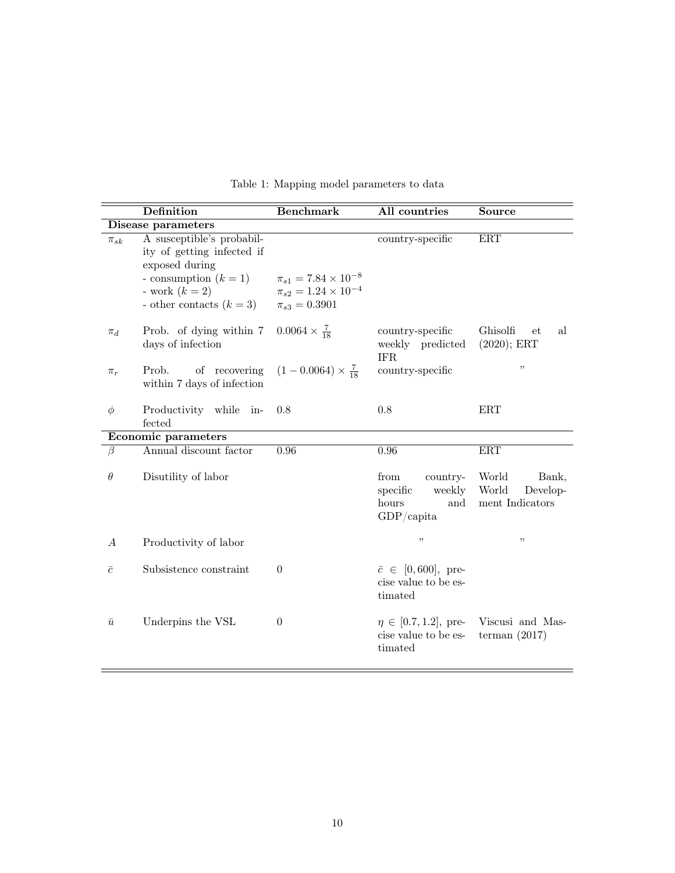|                    | Definition                                                                                                                                                    | <b>Benchmark</b>                                                                            | All countries                                                           | Source                                                 |  |  |  |  |
|--------------------|---------------------------------------------------------------------------------------------------------------------------------------------------------------|---------------------------------------------------------------------------------------------|-------------------------------------------------------------------------|--------------------------------------------------------|--|--|--|--|
|                    | Disease parameters                                                                                                                                            |                                                                                             |                                                                         |                                                        |  |  |  |  |
| $\pi_{sk}$         | A susceptible's probabil-<br>ity of getting infected if<br>exposed during<br>- consumption $(k = 1)$<br>- work $(k=2)$<br>- other contacts $\left(k=3\right)$ | $\pi_{s1} = 7.84 \times 10^{-8}$<br>$\pi_{s2} = 1.24 \times 10^{-4}$<br>$\pi_{s3} = 0.3901$ | country-specific                                                        | ERT                                                    |  |  |  |  |
| $\pi_d$            | Prob. of dying within 7<br>days of infection                                                                                                                  | $0.0064 \times \frac{7}{18}$                                                                | country-specific<br>weekly predicted<br><b>IFR</b>                      | Ghisolfi<br>al<br>et.<br>$(2020)$ ; ERT                |  |  |  |  |
| $\pi_r$            | of recovering<br>Prob.<br>within 7 days of infection                                                                                                          | $(1-0.0064) \times \frac{7}{18}$                                                            | country-specific                                                        | , ,                                                    |  |  |  |  |
| $\phi$             | Productivity while in-<br>fected                                                                                                                              | 0.8                                                                                         | 0.8                                                                     | ERT                                                    |  |  |  |  |
|                    | <b>Economic parameters</b>                                                                                                                                    |                                                                                             |                                                                         |                                                        |  |  |  |  |
| $\overline{\beta}$ | Annual discount factor                                                                                                                                        | 0.96                                                                                        | 0.96                                                                    | $\operatorname{ERT}$                                   |  |  |  |  |
| $\theta$           | Disutility of labor                                                                                                                                           |                                                                                             | from<br>country-<br>specific<br>weekly<br>hours<br>and<br>$GDP/c$ apita | World<br>Bank,<br>World<br>Develop-<br>ment Indicators |  |  |  |  |
| $\boldsymbol{A}$   | Productivity of labor                                                                                                                                         |                                                                                             | ,,                                                                      | $, \,$                                                 |  |  |  |  |
| $\bar{c}$          | Subsistence constraint                                                                                                                                        | $\boldsymbol{0}$                                                                            | $\bar{c} \in [0, 600], \text{ pre-}$<br>cise value to be es-<br>timated |                                                        |  |  |  |  |
| $\bar{u}$          | Underpins the VSL                                                                                                                                             | $\boldsymbol{0}$                                                                            | $\eta \in [0.7, 1.2]$ , pre-<br>cise value to be es-<br>timated         | Viscusi and Mas-<br>terman $(2017)$                    |  |  |  |  |

Table 1: Mapping model parameters to data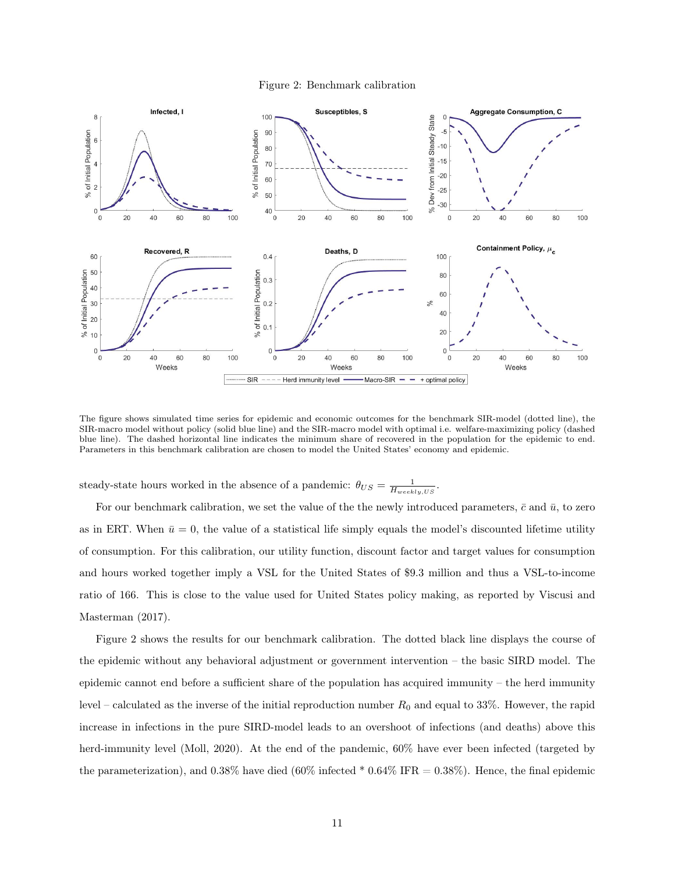



The figure shows simulated time series for epidemic and economic outcomes for the benchmark SIR-model (dotted line), the SIR-macro model without policy (solid blue line) and the SIR-macro model with optimal i.e. welfare-maximizing policy (dashed blue line). The dashed horizontal line indicates the minimum share of recovered in the population for the epidemic to end. Parameters in this benchmark calibration are chosen to model the United States' economy and epidemic.

steady-state hours worked in the absence of a pandemic:  $\theta_{US} = \frac{1}{H_{weekly,US}}$ .

For our benchmark calibration, we set the value of the the newly introduced parameters,  $\bar{c}$  and  $\bar{u}$ , to zero as in ERT. When  $\bar{u}=0$ , the value of a statistical life simply equals the model's discounted lifetime utility of consumption. For this calibration, our utility function, discount factor and target values for consumption and hours worked together imply a VSL for the United States of \$9.3 million and thus a VSL-to-income ratio of 166. This is close to the value used for United States policy making, as reported by Viscusi and Masterman (2017).

Figure 2 shows the results for our benchmark calibration. The dotted black line displays the course of the epidemic without any behavioral adjustment or government intervention – the basic SIRD model. The epidemic cannot end before a sufficient share of the population has acquired immunity – the herd immunity level – calculated as the inverse of the initial reproduction number  $R_0$  and equal to 33%. However, the rapid increase in infections in the pure SIRD-model leads to an overshoot of infections (and deaths) above this herd-immunity level (Moll, 2020). At the end of the pandemic,  $60\%$  have ever been infected (targeted by the parameterization), and  $0.38\%$  have died  $(60\%$  infected \*  $0.64\%$  IFR =  $0.38\%$ ). Hence, the final epidemic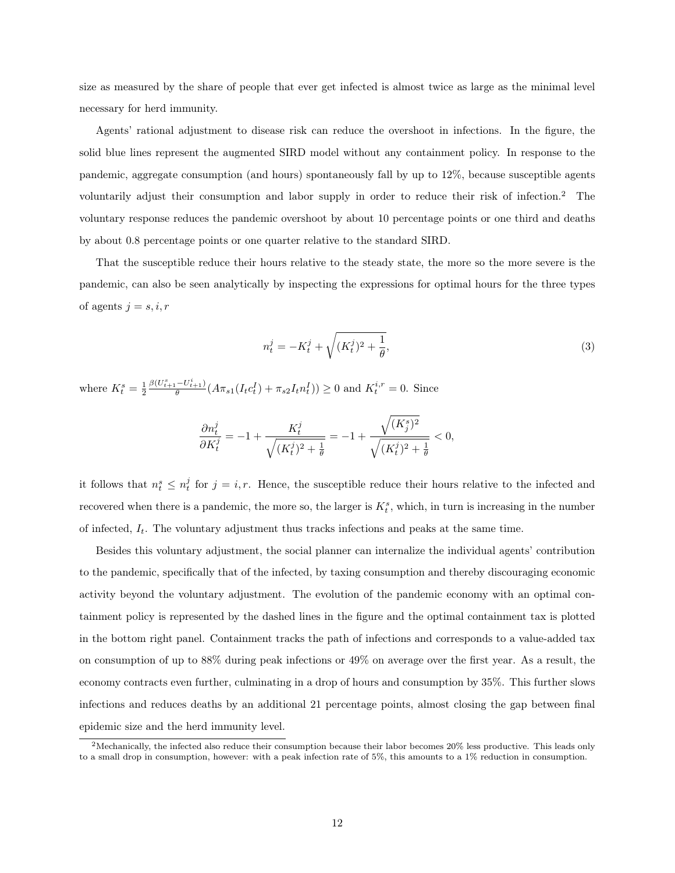size as measured by the share of people that ever get infected is almost twice as large as the minimal level necessary for herd immunity.

Agents' rational adjustment to disease risk can reduce the overshoot in infections. In the figure, the solid blue lines represent the augmented SIRD model without any containment policy. In response to the pandemic, aggregate consumption (and hours) spontaneously fall by up to 12%, because susceptible agents voluntarily adjust their consumption and labor supply in order to reduce their risk of infection.<sup>2</sup> The voluntary response reduces the pandemic overshoot by about 10 percentage points or one third and deaths by about 0.8 percentage points or one quarter relative to the standard SIRD.

That the susceptible reduce their hours relative to the steady state, the more so the more severe is the pandemic, can also be seen analytically by inspecting the expressions for optimal hours for the three types of agents  $j = s, i, r$ 

$$
n_t^j = -K_t^j + \sqrt{(K_t^j)^2 + \frac{1}{\theta}},\tag{3}
$$

where  $K_t^s = \frac{1}{2}$  $\frac{\beta(U_{t+1}^s - U_{t+1}^i)}{\theta}(A\pi_{s1}(I_t c_t^I) + \pi_{s2}I_t n_t^I)) \ge 0$  and  $K_t^{i,r} = 0$ . Since  $\frac{\partial n_t^j}{\partial K_t^j}$  $=-1 + \frac{K_t^j}{\sqrt{(K_t^j)^2 + \frac{1}{\theta}}}$  $=-1 +$  $\sqrt{(K_j^s)^2}$  $\sqrt{(K_t^j)^2 + \frac{1}{\theta}}$  $< 0$ ,

it follows that  $n_t^s \leq n_t^j$  for  $j = i, r$ . Hence, the susceptible reduce their hours relative to the infected and recovered when there is a pandemic, the more so, the larger is  $K_t^s$ , which, in turn is increasing in the number of infected,  $I_t$ . The voluntary adjustment thus tracks infections and peaks at the same time.

Besides this voluntary adjustment, the social planner can internalize the individual agents' contribution to the pandemic, specifically that of the infected, by taxing consumption and thereby discouraging economic activity beyond the voluntary adjustment. The evolution of the pandemic economy with an optimal containment policy is represented by the dashed lines in the figure and the optimal containment tax is plotted in the bottom right panel. Containment tracks the path of infections and corresponds to a value-added tax on consumption of up to 88% during peak infections or 49% on average over the first year. As a result, the economy contracts even further, culminating in a drop of hours and consumption by 35%. This further slows infections and reduces deaths by an additional 21 percentage points, almost closing the gap between final epidemic size and the herd immunity level.

<sup>2</sup>Mechanically, the infected also reduce their consumption because their labor becomes 20% less productive. This leads only to a small drop in consumption, however: with a peak infection rate of 5%, this amounts to a 1% reduction in consumption.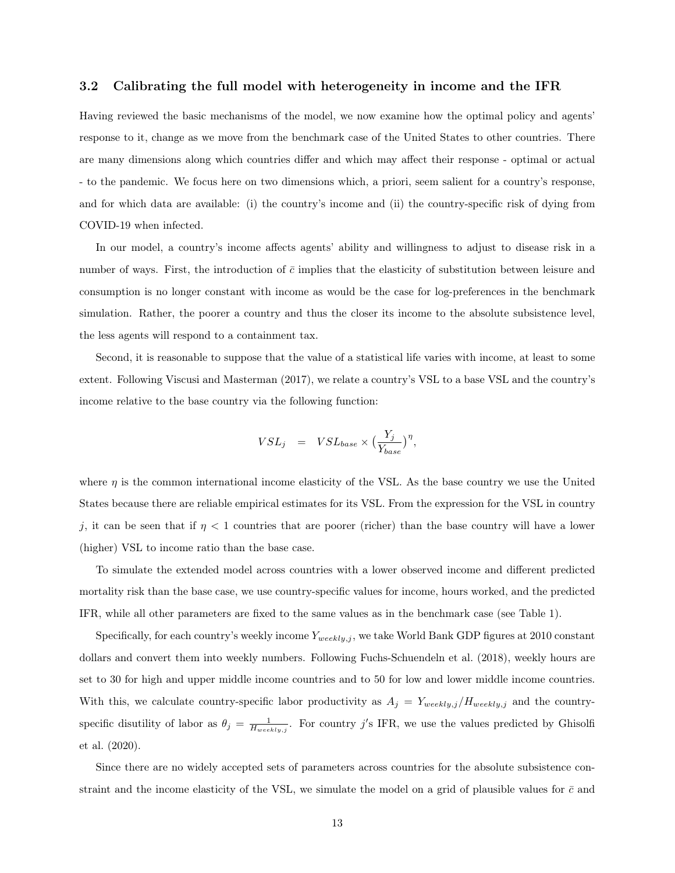#### 3.2 Calibrating the full model with heterogeneity in income and the IFR

Having reviewed the basic mechanisms of the model, we now examine how the optimal policy and agents' response to it, change as we move from the benchmark case of the United States to other countries. There are many dimensions along which countries differ and which may affect their response - optimal or actual - to the pandemic. We focus here on two dimensions which, a priori, seem salient for a country's response, and for which data are available: (i) the country's income and (ii) the country-specific risk of dying from COVID-19 when infected.

In our model, a country's income affects agents' ability and willingness to adjust to disease risk in a number of ways. First, the introduction of  $\bar{c}$  implies that the elasticity of substitution between leisure and consumption is no longer constant with income as would be the case for log-preferences in the benchmark simulation. Rather, the poorer a country and thus the closer its income to the absolute subsistence level, the less agents will respond to a containment tax.

Second, it is reasonable to suppose that the value of a statistical life varies with income, at least to some extent. Following Viscusi and Masterman (2017), we relate a country's VSL to a base VSL and the country's income relative to the base country via the following function:

$$
VSL_j \quad = \quad VSL_{base} \times \big( \frac{Y_j}{Y_{base}} \big)^{\eta},
$$

where  $\eta$  is the common international income elasticity of the VSL. As the base country we use the United States because there are reliable empirical estimates for its VSL. From the expression for the VSL in country j, it can be seen that if  $\eta < 1$  countries that are poorer (richer) than the base country will have a lower (higher) VSL to income ratio than the base case.

To simulate the extended model across countries with a lower observed income and different predicted mortality risk than the base case, we use country-specific values for income, hours worked, and the predicted IFR, while all other parameters are fixed to the same values as in the benchmark case (see Table 1).

Specifically, for each country's weekly income  $Y_{weekly,j}$ , we take World Bank GDP figures at 2010 constant dollars and convert them into weekly numbers. Following Fuchs-Schuendeln et al. (2018), weekly hours are set to 30 for high and upper middle income countries and to 50 for low and lower middle income countries. With this, we calculate country-specific labor productivity as  $A_j = Y_{weekly,j}/H_{weekly,j}$  and the countryspecific disutility of labor as  $\theta_j = \frac{1}{H_{weekly,j}}$ . For country j's IFR, we use the values predicted by Ghisolfi et al. (2020).

Since there are no widely accepted sets of parameters across countries for the absolute subsistence constraint and the income elasticity of the VSL, we simulate the model on a grid of plausible values for  $\bar{c}$  and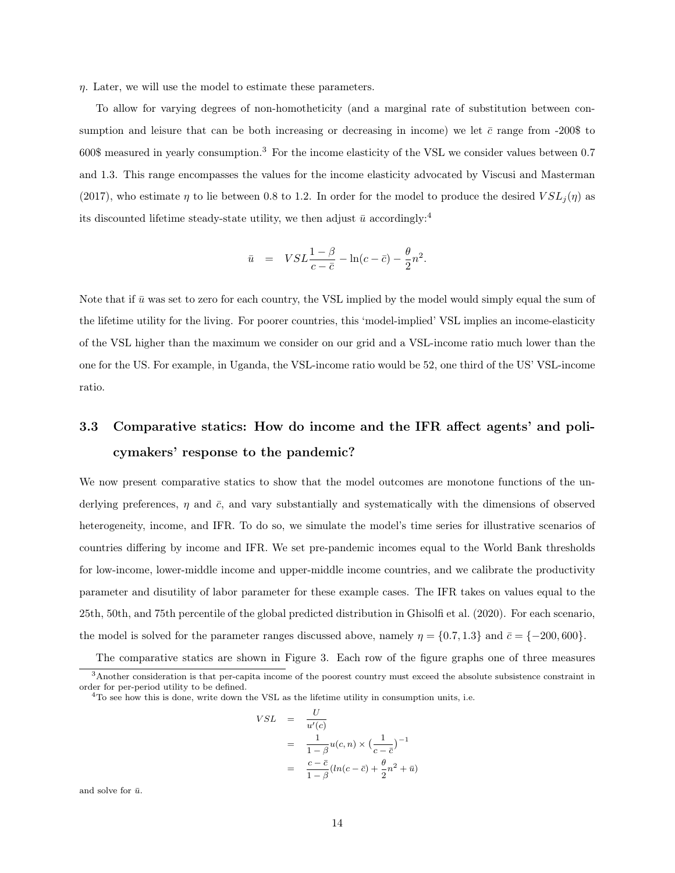$\eta$ . Later, we will use the model to estimate these parameters.

To allow for varying degrees of non-homotheticity (and a marginal rate of substitution between consumption and leisure that can be both increasing or decreasing in income) we let  $\bar{c}$  range from -200\$ to 600\$ measured in yearly consumption.<sup>3</sup> For the income elasticity of the VSL we consider values between 0.7 and 1.3. This range encompasses the values for the income elasticity advocated by Viscusi and Masterman (2017), who estimate  $\eta$  to lie between 0.8 to 1.2. In order for the model to produce the desired  $VSL_i(\eta)$  as its discounted lifetime steady-state utility, we then adjust  $\bar{u}$  accordingly:<sup>4</sup>

$$
\bar{u} = VSL \frac{1-\beta}{c-\bar{c}} - \ln(c-\bar{c}) - \frac{\theta}{2}n^2.
$$

Note that if  $\bar{u}$  was set to zero for each country, the VSL implied by the model would simply equal the sum of the lifetime utility for the living. For poorer countries, this 'model-implied' VSL implies an income-elasticity of the VSL higher than the maximum we consider on our grid and a VSL-income ratio much lower than the one for the US. For example, in Uganda, the VSL-income ratio would be 52, one third of the US' VSL-income ratio.

# 3.3 Comparative statics: How do income and the IFR affect agents' and policymakers' response to the pandemic?

We now present comparative statics to show that the model outcomes are monotone functions of the underlying preferences,  $\eta$  and  $\bar{c}$ , and vary substantially and systematically with the dimensions of observed heterogeneity, income, and IFR. To do so, we simulate the model's time series for illustrative scenarios of countries differing by income and IFR. We set pre-pandemic incomes equal to the World Bank thresholds for low-income, lower-middle income and upper-middle income countries, and we calibrate the productivity parameter and disutility of labor parameter for these example cases. The IFR takes on values equal to the 25th, 50th, and 75th percentile of the global predicted distribution in Ghisolfi et al. (2020). For each scenario, the model is solved for the parameter ranges discussed above, namely  $\eta = \{0.7, 1.3\}$  and  $\bar{c} = \{-200, 600\}.$ 

$$
VSL = \frac{U}{u'(c)}
$$
  
= 
$$
\frac{1}{1-\beta}u(c,n) \times \left(\frac{1}{c-\overline{c}}\right)^{-1}
$$
  
= 
$$
\frac{c-\overline{c}}{1-\beta}(\ln(c-\overline{c}) + \frac{\theta}{2}n^2 + \overline{u})
$$

and solve for  $\bar{u}$ .

The comparative statics are shown in Figure 3. Each row of the figure graphs one of three measures <sup>3</sup>Another consideration is that per-capita income of the poorest country must exceed the absolute subsistence constraint in order for per-period utility to be defined.

<sup>4</sup>To see how this is done, write down the VSL as the lifetime utility in consumption units, i.e.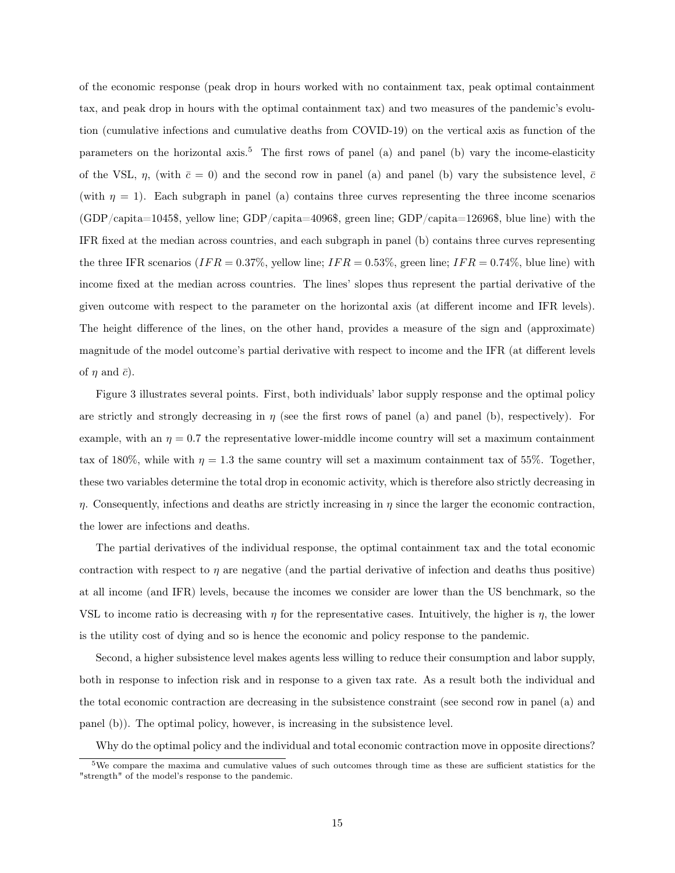of the economic response (peak drop in hours worked with no containment tax, peak optimal containment tax, and peak drop in hours with the optimal containment tax) and two measures of the pandemic's evolution (cumulative infections and cumulative deaths from COVID-19) on the vertical axis as function of the parameters on the horizontal axis.<sup>5</sup> The first rows of panel (a) and panel (b) vary the income-elasticity of the VSL,  $\eta$ , (with  $\bar{c}=0$ ) and the second row in panel (a) and panel (b) vary the subsistence level,  $\bar{c}$ (with  $\eta = 1$ ). Each subgraph in panel (a) contains three curves representing the three income scenarios (GDP/capita=1045\$, yellow line; GDP/capita=4096\$, green line; GDP/capita=12696\$, blue line) with the IFR fixed at the median across countries, and each subgraph in panel (b) contains three curves representing the three IFR scenarios (IFR = 0.37%, yellow line; IFR = 0.53%, green line; IFR = 0.74%, blue line) with income fixed at the median across countries. The lines' slopes thus represent the partial derivative of the given outcome with respect to the parameter on the horizontal axis (at different income and IFR levels). The height difference of the lines, on the other hand, provides a measure of the sign and (approximate) magnitude of the model outcome's partial derivative with respect to income and the IFR (at different levels of  $\eta$  and  $\bar{c}$ ).

Figure 3 illustrates several points. First, both individuals' labor supply response and the optimal policy are strictly and strongly decreasing in  $\eta$  (see the first rows of panel (a) and panel (b), respectively). For example, with an  $\eta = 0.7$  the representative lower-middle income country will set a maximum containment tax of 180%, while with  $\eta = 1.3$  the same country will set a maximum containment tax of 55%. Together, these two variables determine the total drop in economic activity, which is therefore also strictly decreasing in  $\eta$ . Consequently, infections and deaths are strictly increasing in  $\eta$  since the larger the economic contraction, the lower are infections and deaths.

The partial derivatives of the individual response, the optimal containment tax and the total economic contraction with respect to  $\eta$  are negative (and the partial derivative of infection and deaths thus positive) at all income (and IFR) levels, because the incomes we consider are lower than the US benchmark, so the VSL to income ratio is decreasing with  $\eta$  for the representative cases. Intuitively, the higher is  $\eta$ , the lower is the utility cost of dying and so is hence the economic and policy response to the pandemic.

Second, a higher subsistence level makes agents less willing to reduce their consumption and labor supply, both in response to infection risk and in response to a given tax rate. As a result both the individual and the total economic contraction are decreasing in the subsistence constraint (see second row in panel (a) and panel (b)). The optimal policy, however, is increasing in the subsistence level.

Why do the optimal policy and the individual and total economic contraction move in opposite directions?

 $5$ We compare the maxima and cumulative values of such outcomes through time as these are sufficient statistics for the "strength" of the model's response to the pandemic.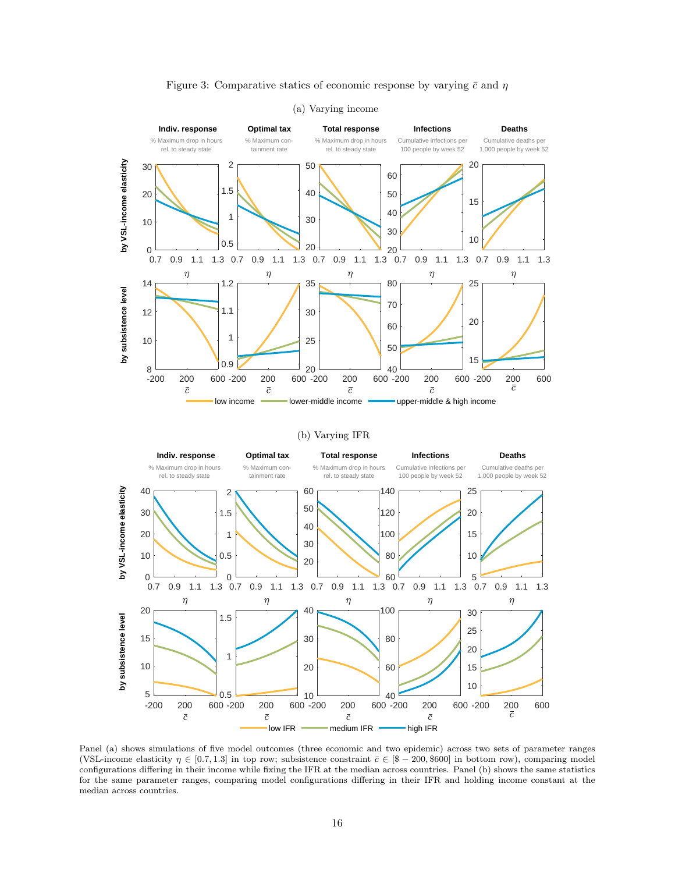



(a) Varying income



Panel (a) shows simulations of five model outcomes (three economic and two epidemic) across two sets of parameter ranges (VSL-income elasticity  $\eta \in [0.7, 1.3]$  in top row; subsistence constraint  $\bar{c} \in [\$ -200, \$600]$  in bottom row), comparing model configurations differing in their income while fixing the IFR at the median across countries. Panel (b) shows the same statistics for the same parameter ranges, comparing model configurations differing in their IFR and holding income constant at the median across countries.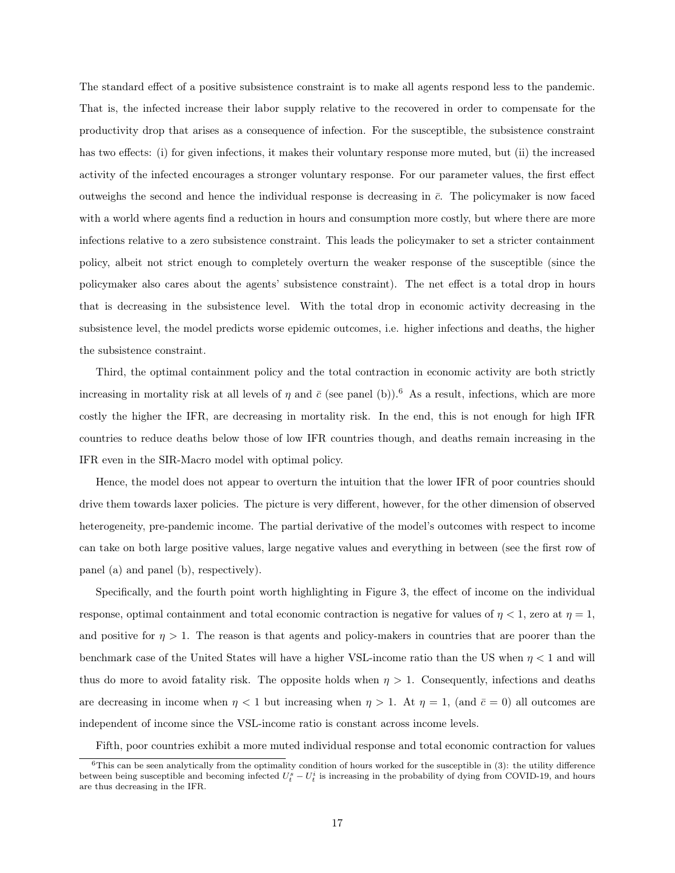The standard effect of a positive subsistence constraint is to make all agents respond less to the pandemic. That is, the infected increase their labor supply relative to the recovered in order to compensate for the productivity drop that arises as a consequence of infection. For the susceptible, the subsistence constraint has two effects: (i) for given infections, it makes their voluntary response more muted, but (ii) the increased activity of the infected encourages a stronger voluntary response. For our parameter values, the first effect outweighs the second and hence the individual response is decreasing in  $\bar{c}$ . The policymaker is now faced with a world where agents find a reduction in hours and consumption more costly, but where there are more infections relative to a zero subsistence constraint. This leads the policymaker to set a stricter containment policy, albeit not strict enough to completely overturn the weaker response of the susceptible (since the policymaker also cares about the agents' subsistence constraint). The net effect is a total drop in hours that is decreasing in the subsistence level. With the total drop in economic activity decreasing in the subsistence level, the model predicts worse epidemic outcomes, i.e. higher infections and deaths, the higher the subsistence constraint.

Third, the optimal containment policy and the total contraction in economic activity are both strictly increasing in mortality risk at all levels of  $\eta$  and  $\bar{c}$  (see panel (b)).<sup>6</sup> As a result, infections, which are more costly the higher the IFR, are decreasing in mortality risk. In the end, this is not enough for high IFR countries to reduce deaths below those of low IFR countries though, and deaths remain increasing in the IFR even in the SIR-Macro model with optimal policy.

Hence, the model does not appear to overturn the intuition that the lower IFR of poor countries should drive them towards laxer policies. The picture is very different, however, for the other dimension of observed heterogeneity, pre-pandemic income. The partial derivative of the model's outcomes with respect to income can take on both large positive values, large negative values and everything in between (see the first row of panel (a) and panel (b), respectively).

Specifically, and the fourth point worth highlighting in Figure 3, the effect of income on the individual response, optimal containment and total economic contraction is negative for values of  $\eta < 1$ , zero at  $\eta = 1$ , and positive for  $\eta > 1$ . The reason is that agents and policy-makers in countries that are poorer than the benchmark case of the United States will have a higher VSL-income ratio than the US when  $\eta < 1$  and will thus do more to avoid fatality risk. The opposite holds when  $\eta > 1$ . Consequently, infections and deaths are decreasing in income when  $\eta$  < 1 but increasing when  $\eta$  > 1. At  $\eta$  = 1, (and  $\bar{c}$  = 0) all outcomes are independent of income since the VSL-income ratio is constant across income levels.

Fifth, poor countries exhibit a more muted individual response and total economic contraction for values

 $6$ This can be seen analytically from the optimality condition of hours worked for the susceptible in  $(3)$ : the utility difference between being susceptible and becoming infected  $U_t^s - U_t^i$  is increasing in the probability of dying from COVID-19, and hours are thus decreasing in the IFR.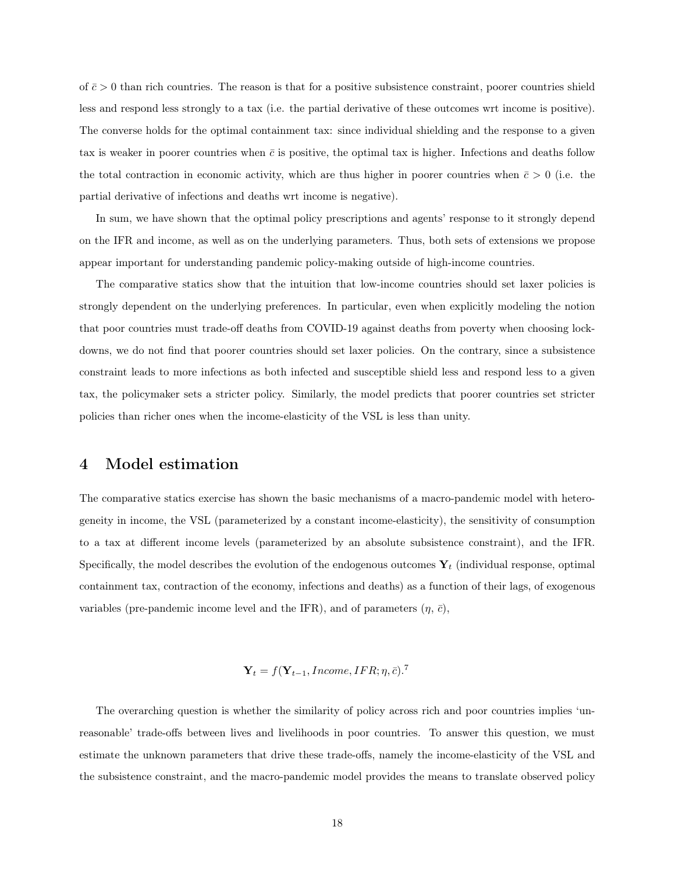of  $\bar{c} > 0$  than rich countries. The reason is that for a positive subsistence constraint, poorer countries shield less and respond less strongly to a tax (i.e. the partial derivative of these outcomes wrt income is positive). The converse holds for the optimal containment tax: since individual shielding and the response to a given tax is weaker in poorer countries when  $\bar{c}$  is positive, the optimal tax is higher. Infections and deaths follow the total contraction in economic activity, which are thus higher in poorer countries when  $\bar{c} > 0$  (i.e. the partial derivative of infections and deaths wrt income is negative).

In sum, we have shown that the optimal policy prescriptions and agents' response to it strongly depend on the IFR and income, as well as on the underlying parameters. Thus, both sets of extensions we propose appear important for understanding pandemic policy-making outside of high-income countries.

The comparative statics show that the intuition that low-income countries should set laxer policies is strongly dependent on the underlying preferences. In particular, even when explicitly modeling the notion that poor countries must trade-off deaths from COVID-19 against deaths from poverty when choosing lockdowns, we do not find that poorer countries should set laxer policies. On the contrary, since a subsistence constraint leads to more infections as both infected and susceptible shield less and respond less to a given tax, the policymaker sets a stricter policy. Similarly, the model predicts that poorer countries set stricter policies than richer ones when the income-elasticity of the VSL is less than unity.

## 4 Model estimation

The comparative statics exercise has shown the basic mechanisms of a macro-pandemic model with heterogeneity in income, the VSL (parameterized by a constant income-elasticity), the sensitivity of consumption to a tax at different income levels (parameterized by an absolute subsistence constraint), and the IFR. Specifically, the model describes the evolution of the endogenous outcomes  $Y_t$  (individual response, optimal containment tax, contraction of the economy, infections and deaths) as a function of their lags, of exogenous variables (pre-pandemic income level and the IFR), and of parameters  $(\eta, \bar{c})$ ,

$$
\mathbf{Y}_t = f(\mathbf{Y}_{t-1}, Income, IFR; \eta, \bar{c}).^7
$$

The overarching question is whether the similarity of policy across rich and poor countries implies 'unreasonable' trade-offs between lives and livelihoods in poor countries. To answer this question, we must estimate the unknown parameters that drive these trade-offs, namely the income-elasticity of the VSL and the subsistence constraint, and the macro-pandemic model provides the means to translate observed policy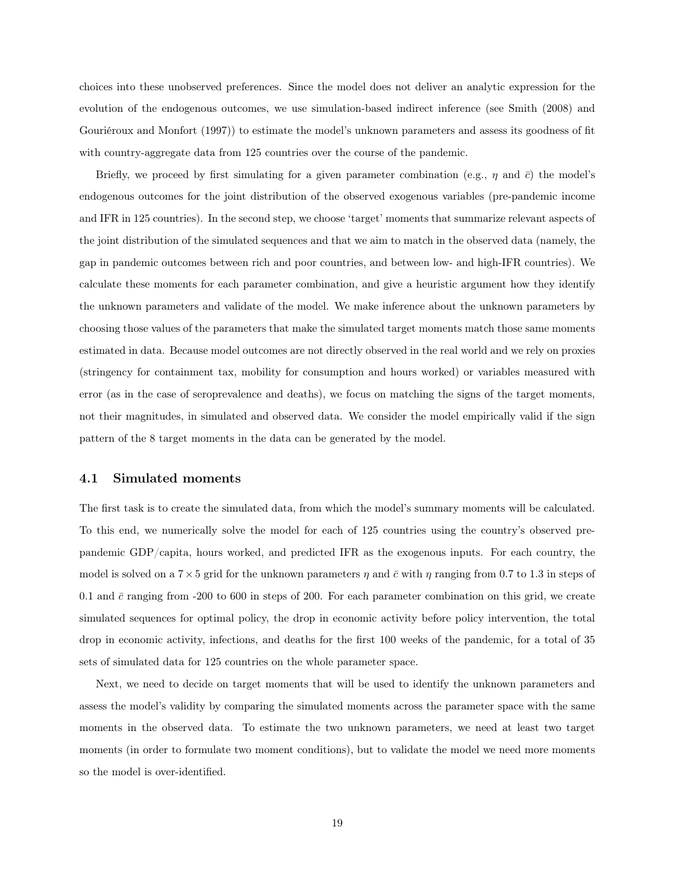choices into these unobserved preferences. Since the model does not deliver an analytic expression for the evolution of the endogenous outcomes, we use simulation-based indirect inference (see Smith (2008) and Gouriéroux and Monfort (1997)) to estimate the model's unknown parameters and assess its goodness of fit with country-aggregate data from 125 countries over the course of the pandemic.

Briefly, we proceed by first simulating for a given parameter combination (e.g.,  $\eta$  and  $\bar{c}$ ) the model's endogenous outcomes for the joint distribution of the observed exogenous variables (pre-pandemic income and IFR in 125 countries). In the second step, we choose 'target' moments that summarize relevant aspects of the joint distribution of the simulated sequences and that we aim to match in the observed data (namely, the gap in pandemic outcomes between rich and poor countries, and between low- and high-IFR countries). We calculate these moments for each parameter combination, and give a heuristic argument how they identify the unknown parameters and validate of the model. We make inference about the unknown parameters by choosing those values of the parameters that make the simulated target moments match those same moments estimated in data. Because model outcomes are not directly observed in the real world and we rely on proxies (stringency for containment tax, mobility for consumption and hours worked) or variables measured with error (as in the case of seroprevalence and deaths), we focus on matching the signs of the target moments, not their magnitudes, in simulated and observed data. We consider the model empirically valid if the sign pattern of the 8 target moments in the data can be generated by the model.

## 4.1 Simulated moments

The first task is to create the simulated data, from which the model's summary moments will be calculated. To this end, we numerically solve the model for each of 125 countries using the country's observed prepandemic GDP/capita, hours worked, and predicted IFR as the exogenous inputs. For each country, the model is solved on a  $7\times 5$  grid for the unknown parameters  $\eta$  and  $\bar{c}$  with  $\eta$  ranging from 0.7 to 1.3 in steps of 0.1 and  $\bar{c}$  ranging from -200 to 600 in steps of 200. For each parameter combination on this grid, we create simulated sequences for optimal policy, the drop in economic activity before policy intervention, the total drop in economic activity, infections, and deaths for the first 100 weeks of the pandemic, for a total of 35 sets of simulated data for 125 countries on the whole parameter space.

Next, we need to decide on target moments that will be used to identify the unknown parameters and assess the model's validity by comparing the simulated moments across the parameter space with the same moments in the observed data. To estimate the two unknown parameters, we need at least two target moments (in order to formulate two moment conditions), but to validate the model we need more moments so the model is over-identified.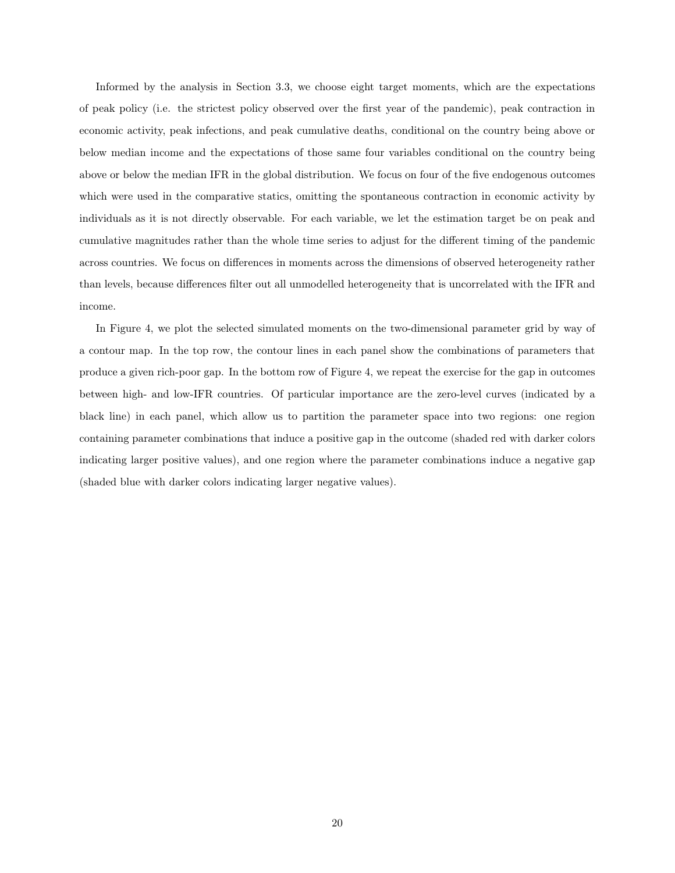Informed by the analysis in Section 3.3, we choose eight target moments, which are the expectations of peak policy (i.e. the strictest policy observed over the first year of the pandemic), peak contraction in economic activity, peak infections, and peak cumulative deaths, conditional on the country being above or below median income and the expectations of those same four variables conditional on the country being above or below the median IFR in the global distribution. We focus on four of the five endogenous outcomes which were used in the comparative statics, omitting the spontaneous contraction in economic activity by individuals as it is not directly observable. For each variable, we let the estimation target be on peak and cumulative magnitudes rather than the whole time series to adjust for the different timing of the pandemic across countries. We focus on differences in moments across the dimensions of observed heterogeneity rather than levels, because differences filter out all unmodelled heterogeneity that is uncorrelated with the IFR and income.

In Figure 4, we plot the selected simulated moments on the two-dimensional parameter grid by way of a contour map. In the top row, the contour lines in each panel show the combinations of parameters that produce a given rich-poor gap. In the bottom row of Figure 4, we repeat the exercise for the gap in outcomes between high- and low-IFR countries. Of particular importance are the zero-level curves (indicated by a black line) in each panel, which allow us to partition the parameter space into two regions: one region containing parameter combinations that induce a positive gap in the outcome (shaded red with darker colors indicating larger positive values), and one region where the parameter combinations induce a negative gap (shaded blue with darker colors indicating larger negative values).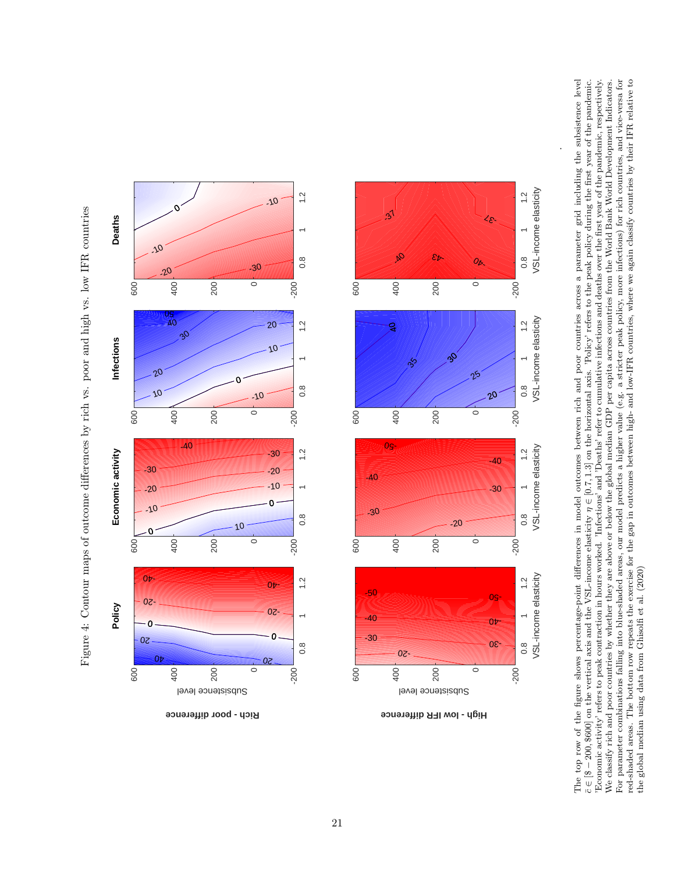





The top row of the figure shows percentage-point differences in model outcomes between rich and poor countries across a parameter grid including the subsistence level We classify rich and poor countries by whether they are above or below the global median GDP per capita across countries from the World Bank World Development Indicators. For parameter combinations falling into blue-shaded areas, our model predicts a higher value (e.g. a stricter peak policy, more infections) for rich countries, and vice-versa for red-shaded areas. The bottom row repeats t The top row of the figure shows percentage-point differences in model outcomes between rich and poor countries across a parameter grid including the subsistence level 200, \$600] on the vertical axis and the VSL-income elasticity η ∈ [0.7, 1.3] on the horizontal axis. 'Policy' refers to the peak policy during the first year of the pandemic. 'Economic activity' refers to peak contraction in hours worked. 'Infections' and 'Deaths' refer to cumulative infections and deaths over the first year of the pandemic, respectively. We classify rich and poor countries by whether they are above or below the global median GDP per capita across countries from the World Bank World Development Indicators. For parameter combinations falling into blue-shaded areas, our model predicts a higher value (e.g. a stricter peak policy, more infections) for rich countries, and vice-versa for red-shaded areas. The bottom row repeats the exercise for the gap in outcomes between high- and low-IFR countries, where we again classify countries by their IFR relative to the global median using data from Ghisolfi et al. (2020) the global median using data from Ghisolfi et al. (2020) ¯c ∈ [\$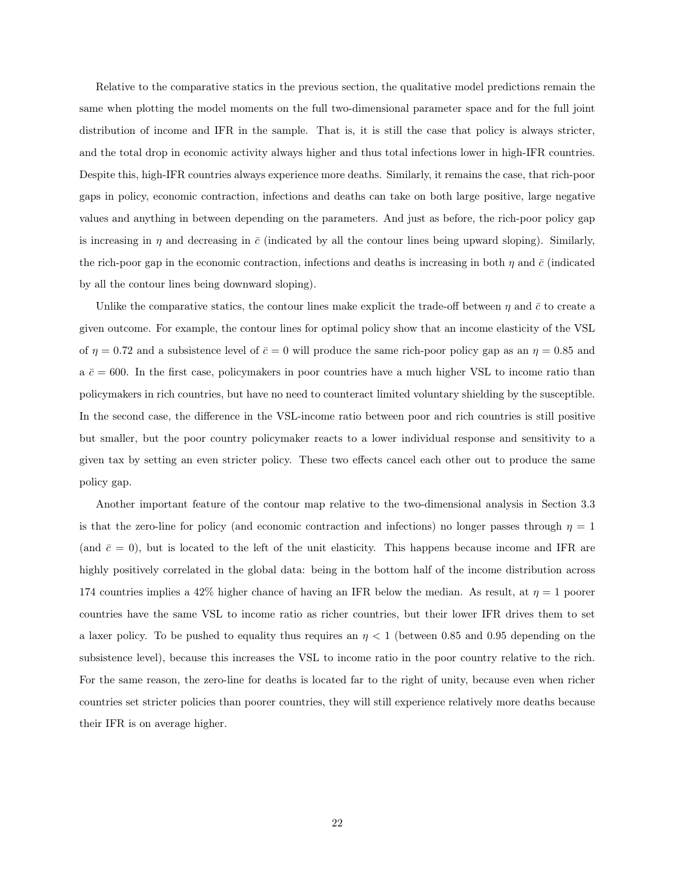Relative to the comparative statics in the previous section, the qualitative model predictions remain the same when plotting the model moments on the full two-dimensional parameter space and for the full joint distribution of income and IFR in the sample. That is, it is still the case that policy is always stricter, and the total drop in economic activity always higher and thus total infections lower in high-IFR countries. Despite this, high-IFR countries always experience more deaths. Similarly, it remains the case, that rich-poor gaps in policy, economic contraction, infections and deaths can take on both large positive, large negative values and anything in between depending on the parameters. And just as before, the rich-poor policy gap is increasing in  $\eta$  and decreasing in  $\bar{c}$  (indicated by all the contour lines being upward sloping). Similarly, the rich-poor gap in the economic contraction, infections and deaths is increasing in both  $\eta$  and  $\bar{c}$  (indicated by all the contour lines being downward sloping).

Unlike the comparative statics, the contour lines make explicit the trade-off between  $\eta$  and  $\bar{c}$  to create a given outcome. For example, the contour lines for optimal policy show that an income elasticity of the VSL of  $\eta = 0.72$  and a subsistence level of  $\bar{c} = 0$  will produce the same rich-poor policy gap as an  $\eta = 0.85$  and  $a \bar{c} = 600$ . In the first case, policymakers in poor countries have a much higher VSL to income ratio than policymakers in rich countries, but have no need to counteract limited voluntary shielding by the susceptible. In the second case, the difference in the VSL-income ratio between poor and rich countries is still positive but smaller, but the poor country policymaker reacts to a lower individual response and sensitivity to a given tax by setting an even stricter policy. These two effects cancel each other out to produce the same policy gap.

Another important feature of the contour map relative to the two-dimensional analysis in Section 3.3 is that the zero-line for policy (and economic contraction and infections) no longer passes through  $\eta = 1$ (and  $\bar{c}=0$ ), but is located to the left of the unit elasticity. This happens because income and IFR are highly positively correlated in the global data: being in the bottom half of the income distribution across 174 countries implies a 42% higher chance of having an IFR below the median. As result, at  $\eta = 1$  poorer countries have the same VSL to income ratio as richer countries, but their lower IFR drives them to set a laxer policy. To be pushed to equality thus requires an  $\eta < 1$  (between 0.85 and 0.95 depending on the subsistence level), because this increases the VSL to income ratio in the poor country relative to the rich. For the same reason, the zero-line for deaths is located far to the right of unity, because even when richer countries set stricter policies than poorer countries, they will still experience relatively more deaths because their IFR is on average higher.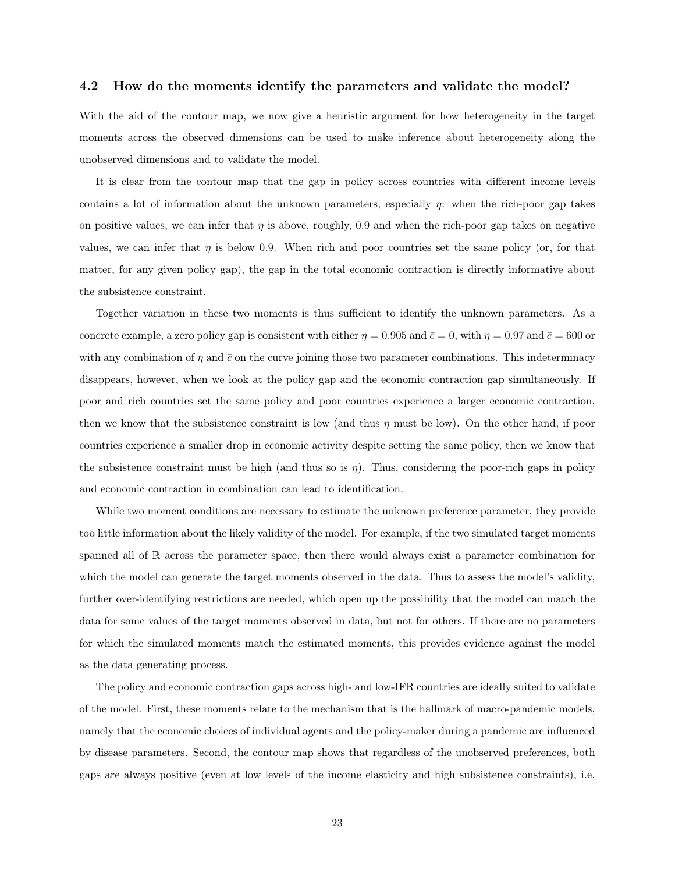## 4.2 How do the moments identify the parameters and validate the model?

With the aid of the contour map, we now give a heuristic argument for how heterogeneity in the target moments across the observed dimensions can be used to make inference about heterogeneity along the unobserved dimensions and to validate the model.

It is clear from the contour map that the gap in policy across countries with different income levels contains a lot of information about the unknown parameters, especially  $\eta$ : when the rich-poor gap takes on positive values, we can infer that  $\eta$  is above, roughly, 0.9 and when the rich-poor gap takes on negative values, we can infer that  $\eta$  is below 0.9. When rich and poor countries set the same policy (or, for that matter, for any given policy gap), the gap in the total economic contraction is directly informative about the subsistence constraint.

Together variation in these two moments is thus sufficient to identify the unknown parameters. As a concrete example, a zero policy gap is consistent with either  $\eta = 0.905$  and  $\bar{c} = 0$ , with  $\eta = 0.97$  and  $\bar{c} = 600$  or with any combination of  $\eta$  and  $\bar{c}$  on the curve joining those two parameter combinations. This indeterminacy disappears, however, when we look at the policy gap and the economic contraction gap simultaneously. If poor and rich countries set the same policy and poor countries experience a larger economic contraction, then we know that the subsistence constraint is low (and thus  $\eta$  must be low). On the other hand, if poor countries experience a smaller drop in economic activity despite setting the same policy, then we know that the subsistence constraint must be high (and thus so is  $\eta$ ). Thus, considering the poor-rich gaps in policy and economic contraction in combination can lead to identification.

While two moment conditions are necessary to estimate the unknown preference parameter, they provide too little information about the likely validity of the model. For example, if the two simulated target moments spanned all of  $\mathbb R$  across the parameter space, then there would always exist a parameter combination for which the model can generate the target moments observed in the data. Thus to assess the model's validity, further over-identifying restrictions are needed, which open up the possibility that the model can match the data for some values of the target moments observed in data, but not for others. If there are no parameters for which the simulated moments match the estimated moments, this provides evidence against the model as the data generating process.

The policy and economic contraction gaps across high- and low-IFR countries are ideally suited to validate of the model. First, these moments relate to the mechanism that is the hallmark of macro-pandemic models, namely that the economic choices of individual agents and the policy-maker during a pandemic are influenced by disease parameters. Second, the contour map shows that regardless of the unobserved preferences, both gaps are always positive (even at low levels of the income elasticity and high subsistence constraints), i.e.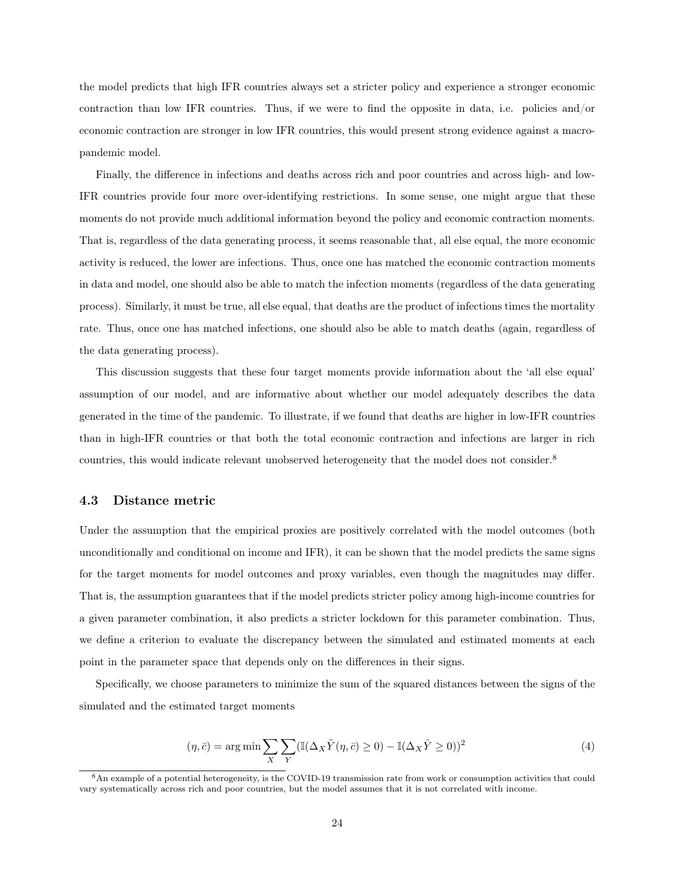the model predicts that high IFR countries always set a stricter policy and experience a stronger economic contraction than low IFR countries. Thus, if we were to find the opposite in data, i.e. policies and/or economic contraction are stronger in low IFR countries, this would present strong evidence against a macropandemic model.

Finally, the difference in infections and deaths across rich and poor countries and across high- and low-IFR countries provide four more over-identifying restrictions. In some sense, one might argue that these moments do not provide much additional information beyond the policy and economic contraction moments. That is, regardless of the data generating process, it seems reasonable that, all else equal, the more economic activity is reduced, the lower are infections. Thus, once one has matched the economic contraction moments in data and model, one should also be able to match the infection moments (regardless of the data generating process). Similarly, it must be true, all else equal, that deaths are the product of infections times the mortality rate. Thus, once one has matched infections, one should also be able to match deaths (again, regardless of the data generating process).

This discussion suggests that these four target moments provide information about the 'all else equal' assumption of our model, and are informative about whether our model adequately describes the data generated in the time of the pandemic. To illustrate, if we found that deaths are higher in low-IFR countries than in high-IFR countries or that both the total economic contraction and infections are larger in rich countries, this would indicate relevant unobserved heterogeneity that the model does not consider.<sup>8</sup>

## 4.3 Distance metric

Under the assumption that the empirical proxies are positively correlated with the model outcomes (both unconditionally and conditional on income and IFR), it can be shown that the model predicts the same signs for the target moments for model outcomes and proxy variables, even though the magnitudes may differ. That is, the assumption guarantees that if the model predicts stricter policy among high-income countries for a given parameter combination, it also predicts a stricter lockdown for this parameter combination. Thus, we define a criterion to evaluate the discrepancy between the simulated and estimated moments at each point in the parameter space that depends only on the differences in their signs.

Specifically, we choose parameters to minimize the sum of the squared distances between the signs of the simulated and the estimated target moments

$$
(\eta, \bar{c}) = \arg\min \sum_{X} \sum_{Y} (\mathbb{I}(\Delta_X \tilde{Y}(\eta, \bar{c}) \ge 0) - \mathbb{I}(\Delta_X \hat{Y} \ge 0))^2
$$
\n(4)

<sup>8</sup>An example of a potential heterogeneity, is the COVID-19 transmission rate from work or consumption activities that could vary systematically across rich and poor countries, but the model assumes that it is not correlated with income.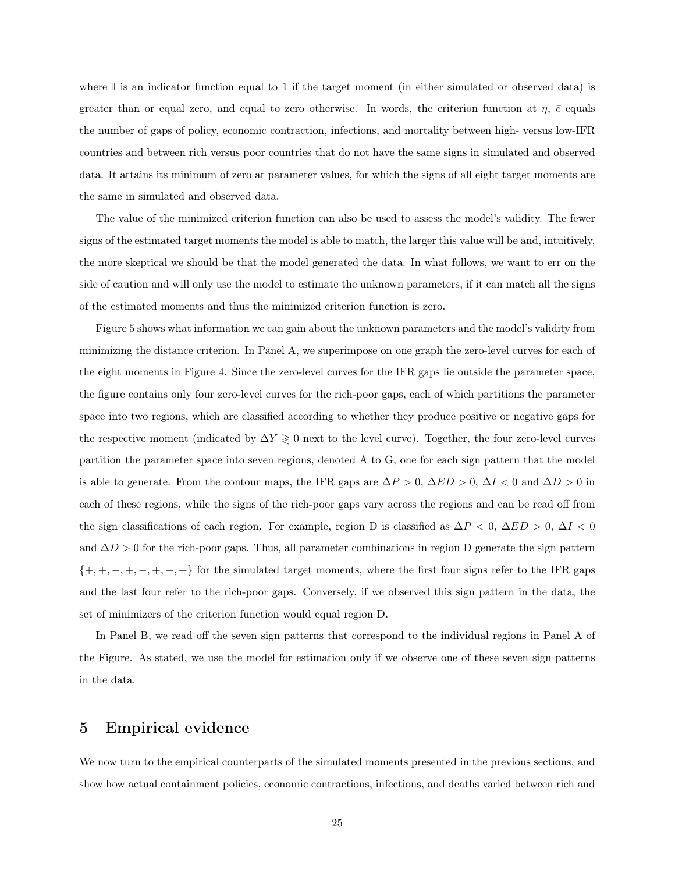where  $\mathbb I$  is an indicator function equal to 1 if the target moment (in either simulated or observed data) is greater than or equal zero, and equal to zero otherwise. In words, the criterion function at  $\eta$ ,  $\bar{c}$  equals the number of gaps of policy, economic contraction, infections, and mortality between high- versus low-IFR countries and between rich versus poor countries that do not have the same signs in simulated and observed data. It attains its minimum of zero at parameter values, for which the signs of all eight target moments are the same in simulated and observed data.

The value of the minimized criterion function can also be used to assess the model's validity. The fewer signs of the estimated target moments the model is able to match, the larger this value will be and, intuitively, the more skeptical we should be that the model generated the data. In what follows, we want to err on the side of caution and will only use the model to estimate the unknown parameters, if it can match all the signs of the estimated moments and thus the minimized criterion function is zero.

Figure 5 shows what information we can gain about the unknown parameters and the model's validity from minimizing the distance criterion. In Panel A, we superimpose on one graph the zero-level curves for each of the eight moments in Figure 4. Since the zero-level curves for the IFR gaps lie outside the parameter space, the figure contains only four zero-level curves for the rich-poor gaps, each of which partitions the parameter space into two regions, which are classified according to whether they produce positive or negative gaps for the respective moment (indicated by  $\Delta Y \geq 0$  next to the level curve). Together, the four zero-level curves partition the parameter space into seven regions, denoted A to G, one for each sign pattern that the model is able to generate. From the contour maps, the IFR gaps are  $\Delta P > 0$ ,  $\Delta ED > 0$ ,  $\Delta I < 0$  and  $\Delta D > 0$  in each of these regions, while the signs of the rich-poor gaps vary across the regions and can be read off from the sign classifications of each region. For example, region D is classified as  $\Delta P < 0$ ,  $\Delta ED > 0$ ,  $\Delta I < 0$ and  $\Delta D > 0$  for the rich-poor gaps. Thus, all parameter combinations in region D generate the sign pattern  $\{+, +, -, +, -, +, -, +\}$  for the simulated target moments, where the first four signs refer to the IFR gaps and the last four refer to the rich-poor gaps. Conversely, if we observed this sign pattern in the data, the set of minimizers of the criterion function would equal region D.

In Panel B, we read off the seven sign patterns that correspond to the individual regions in Panel A of the Figure. As stated, we use the model for estimation only if we observe one of these seven sign patterns in the data.

## 5 Empirical evidence

We now turn to the empirical counterparts of the simulated moments presented in the previous sections, and show how actual containment policies, economic contractions, infections, and deaths varied between rich and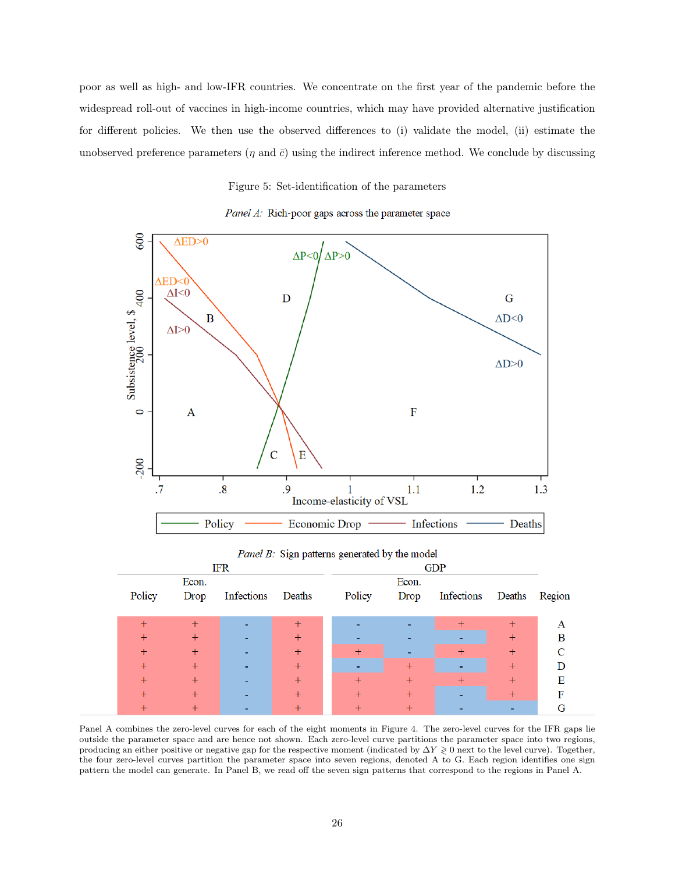poor as well as high- and low-IFR countries. We concentrate on the first year of the pandemic before the widespread roll-out of vaccines in high-income countries, which may have provided alternative justification for different policies. We then use the observed differences to (i) validate the model, (ii) estimate the unobserved preference parameters  $(\eta \text{ and } \bar{c})$  using the indirect inference method. We conclude by discussing

Figure 5: Set-identification of the parameters



Panel A combines the zero-level curves for each of the eight moments in Figure 4. The zero-level curves for the IFR gaps lie outside the parameter space and are hence not shown. Each zero-level curve partitions the parameter space into two regions, producing an either positive or negative gap for the respective moment (indicated by  $\Delta Y \geq 0$  next to the level curve). Together, the four zero-level curves partition the parameter space into seven regions, denoted A to G. Each region identifies one sign pattern the model can generate. In Panel B, we read off the seven sign patterns that correspond to the regions in Panel A.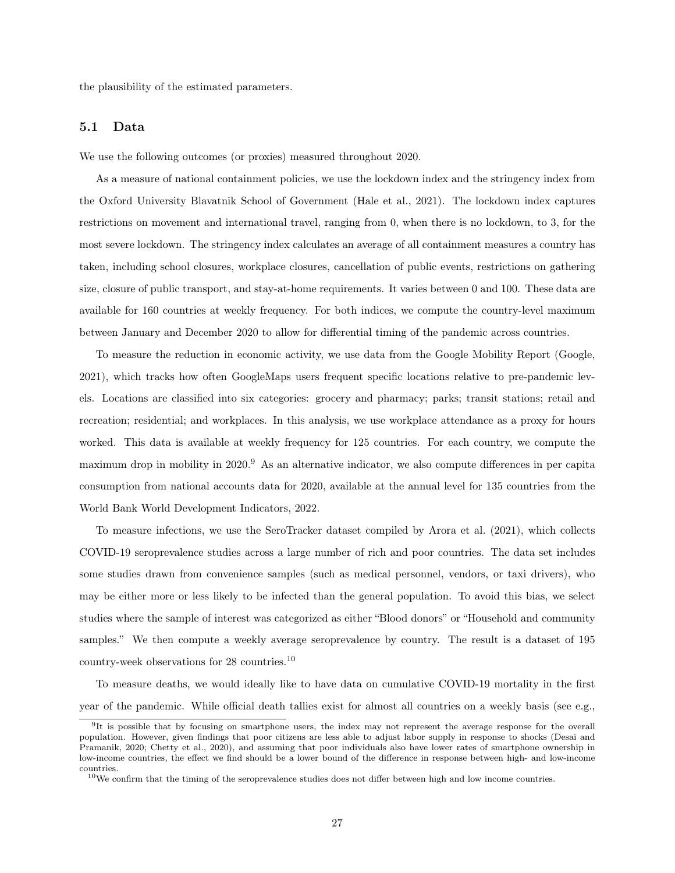the plausibility of the estimated parameters.

## 5.1 Data

We use the following outcomes (or proxies) measured throughout 2020.

As a measure of national containment policies, we use the lockdown index and the stringency index from the Oxford University Blavatnik School of Government (Hale et al., 2021). The lockdown index captures restrictions on movement and international travel, ranging from 0, when there is no lockdown, to 3, for the most severe lockdown. The stringency index calculates an average of all containment measures a country has taken, including school closures, workplace closures, cancellation of public events, restrictions on gathering size, closure of public transport, and stay-at-home requirements. It varies between 0 and 100. These data are available for 160 countries at weekly frequency. For both indices, we compute the country-level maximum between January and December 2020 to allow for differential timing of the pandemic across countries.

To measure the reduction in economic activity, we use data from the Google Mobility Report (Google, 2021), which tracks how often GoogleMaps users frequent specific locations relative to pre-pandemic levels. Locations are classified into six categories: grocery and pharmacy; parks; transit stations; retail and recreation; residential; and workplaces. In this analysis, we use workplace attendance as a proxy for hours worked. This data is available at weekly frequency for 125 countries. For each country, we compute the maximum drop in mobility in 2020.<sup>9</sup> As an alternative indicator, we also compute differences in per capita consumption from national accounts data for 2020, available at the annual level for 135 countries from the World Bank World Development Indicators, 2022.

To measure infections, we use the SeroTracker dataset compiled by Arora et al. (2021), which collects COVID-19 seroprevalence studies across a large number of rich and poor countries. The data set includes some studies drawn from convenience samples (such as medical personnel, vendors, or taxi drivers), who may be either more or less likely to be infected than the general population. To avoid this bias, we select studies where the sample of interest was categorized as either "Blood donors" or "Household and community samples." We then compute a weekly average seroprevalence by country. The result is a dataset of 195 country-week observations for 28 countries.<sup>10</sup>

To measure deaths, we would ideally like to have data on cumulative COVID-19 mortality in the first year of the pandemic. While official death tallies exist for almost all countries on a weekly basis (see e.g.,

<sup>&</sup>lt;sup>9</sup>It is possible that by focusing on smartphone users, the index may not represent the average response for the overall population. However, given findings that poor citizens are less able to adjust labor supply in response to shocks (Desai and Pramanik, 2020; Chetty et al., 2020), and assuming that poor individuals also have lower rates of smartphone ownership in low-income countries, the effect we find should be a lower bound of the difference in response between high- and low-income countries.

 $^{10}\mathrm{We}$  confirm that the timing of the seroprevalence studies does not differ between high and low income countries.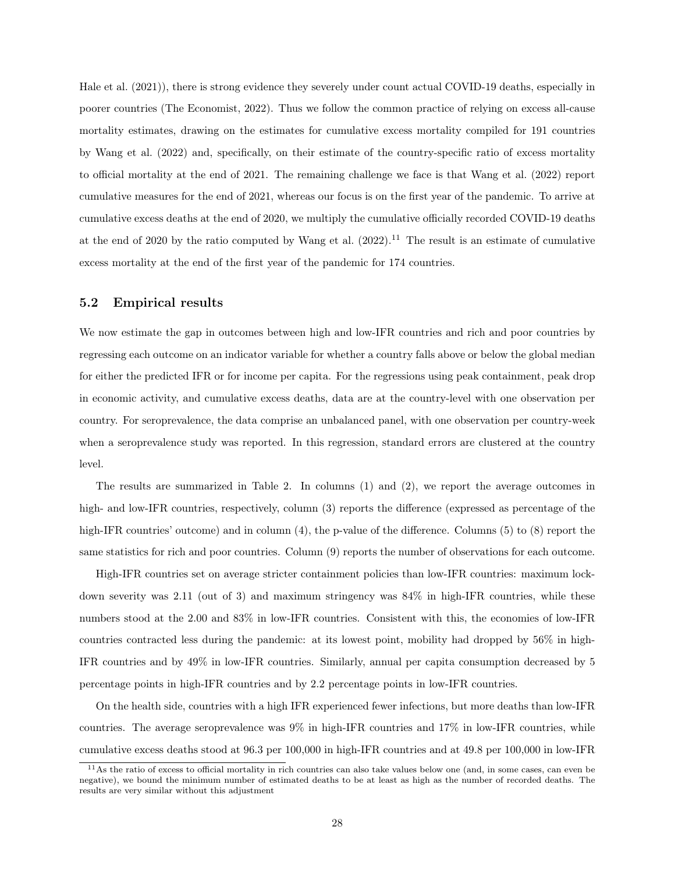Hale et al. (2021)), there is strong evidence they severely under count actual COVID-19 deaths, especially in poorer countries (The Economist, 2022). Thus we follow the common practice of relying on excess all-cause mortality estimates, drawing on the estimates for cumulative excess mortality compiled for 191 countries by Wang et al. (2022) and, specifically, on their estimate of the country-specific ratio of excess mortality to official mortality at the end of 2021. The remaining challenge we face is that Wang et al. (2022) report cumulative measures for the end of 2021, whereas our focus is on the first year of the pandemic. To arrive at cumulative excess deaths at the end of 2020, we multiply the cumulative officially recorded COVID-19 deaths at the end of 2020 by the ratio computed by Wang et al.  $(2022).<sup>11</sup>$  The result is an estimate of cumulative excess mortality at the end of the first year of the pandemic for 174 countries.

## 5.2 Empirical results

We now estimate the gap in outcomes between high and low-IFR countries and rich and poor countries by regressing each outcome on an indicator variable for whether a country falls above or below the global median for either the predicted IFR or for income per capita. For the regressions using peak containment, peak drop in economic activity, and cumulative excess deaths, data are at the country-level with one observation per country. For seroprevalence, the data comprise an unbalanced panel, with one observation per country-week when a seroprevalence study was reported. In this regression, standard errors are clustered at the country level.

The results are summarized in Table 2. In columns (1) and (2), we report the average outcomes in high- and low-IFR countries, respectively, column (3) reports the difference (expressed as percentage of the high-IFR countries' outcome) and in column (4), the p-value of the difference. Columns (5) to (8) report the same statistics for rich and poor countries. Column (9) reports the number of observations for each outcome.

High-IFR countries set on average stricter containment policies than low-IFR countries: maximum lockdown severity was 2.11 (out of 3) and maximum stringency was 84% in high-IFR countries, while these numbers stood at the 2.00 and 83% in low-IFR countries. Consistent with this, the economies of low-IFR countries contracted less during the pandemic: at its lowest point, mobility had dropped by 56% in high-IFR countries and by 49% in low-IFR countries. Similarly, annual per capita consumption decreased by 5 percentage points in high-IFR countries and by 2.2 percentage points in low-IFR countries.

On the health side, countries with a high IFR experienced fewer infections, but more deaths than low-IFR countries. The average seroprevalence was 9% in high-IFR countries and 17% in low-IFR countries, while cumulative excess deaths stood at 96.3 per 100,000 in high-IFR countries and at 49.8 per 100,000 in low-IFR

 $11$ As the ratio of excess to official mortality in rich countries can also take values below one (and, in some cases, can even be negative), we bound the minimum number of estimated deaths to be at least as high as the number of recorded deaths. The results are very similar without this adjustment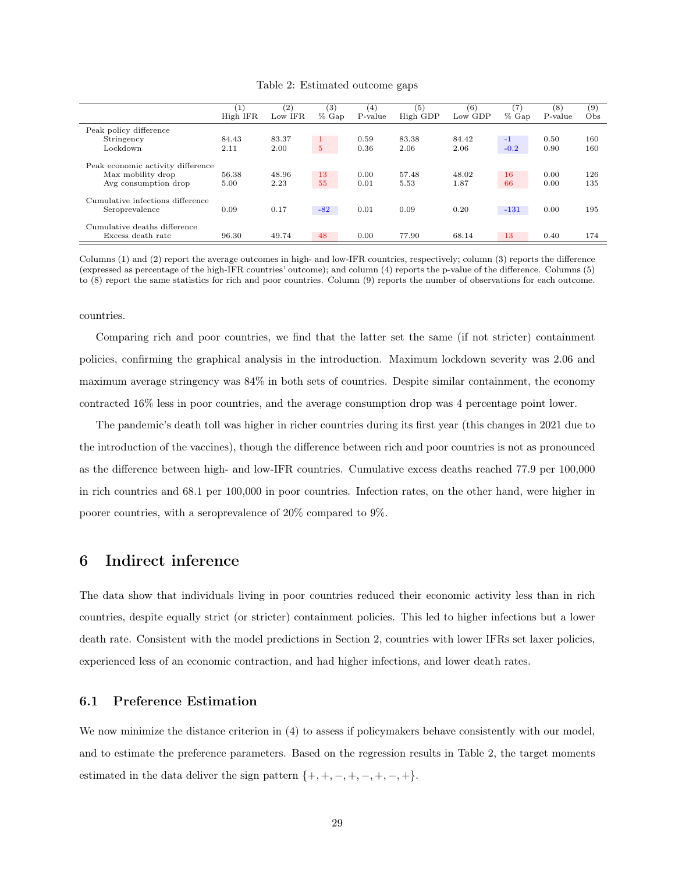|                                   | $\left(1\right)$ | $^{(2)}$ | $\left( 3\right)$ | (4)     | (5)      | (6)     | (7)     | (8)     | (9) |
|-----------------------------------|------------------|----------|-------------------|---------|----------|---------|---------|---------|-----|
|                                   | High IFR         | Low IFR  | $%$ Gap           | P-value | High GDP | Low GDP | $%$ Gap | P-value | Obs |
| Peak policy difference            |                  |          |                   |         |          |         |         |         |     |
| Stringency                        | 84.43            | 83.37    | 1                 | 0.59    | 83.38    | 84.42   | $-1$    | 0.50    | 160 |
| Lockdown                          | 2.11             | 2.00     | 5                 | 0.36    | 2.06     | 2.06    | $-0.2$  | 0.90    | 160 |
| Peak economic activity difference |                  |          |                   |         |          |         |         |         |     |
| Max mobility drop                 | 56.38            | 48.96    | 13                | 0.00    | 57.48    | 48.02   | 16      | 0.00    | 126 |
| Avg consumption drop              | 5.00             | 2.23     | 55                | 0.01    | 5.53     | 1.87    | 66      | 0.00    | 135 |
| Cumulative infections difference  |                  |          |                   |         |          |         |         |         |     |
| Seroprevalence                    | 0.09             | 0.17     | $-82$             | 0.01    | 0.09     | 0.20    | $-131$  | 0.00    | 195 |
| Cumulative deaths difference      |                  |          |                   |         |          |         |         |         |     |
| Excess death rate                 | 96.30            | 49.74    | 48                | 0.00    | 77.90    | 68.14   | 13      | 0.40    | 174 |

Table 2: Estimated outcome gaps

Columns (1) and (2) report the average outcomes in high- and low-IFR countries, respectively; column (3) reports the difference (expressed as percentage of the high-IFR countries' outcome); and column (4) reports the p-value of the difference. Columns (5) to (8) report the same statistics for rich and poor countries. Column (9) reports the number of observations for each outcome.

countries.

Comparing rich and poor countries, we find that the latter set the same (if not stricter) containment policies, confirming the graphical analysis in the introduction. Maximum lockdown severity was 2.06 and maximum average stringency was 84% in both sets of countries. Despite similar containment, the economy contracted 16% less in poor countries, and the average consumption drop was 4 percentage point lower.

The pandemic's death toll was higher in richer countries during its first year (this changes in 2021 due to the introduction of the vaccines), though the difference between rich and poor countries is not as pronounced as the difference between high- and low-IFR countries. Cumulative excess deaths reached 77.9 per 100,000 in rich countries and 68.1 per 100,000 in poor countries. Infection rates, on the other hand, were higher in poorer countries, with a seroprevalence of 20% compared to 9%.

## 6 Indirect inference

The data show that individuals living in poor countries reduced their economic activity less than in rich countries, despite equally strict (or stricter) containment policies. This led to higher infections but a lower death rate. Consistent with the model predictions in Section 2, countries with lower IFRs set laxer policies, experienced less of an economic contraction, and had higher infections, and lower death rates.

## 6.1 Preference Estimation

We now minimize the distance criterion in (4) to assess if policymakers behave consistently with our model, and to estimate the preference parameters. Based on the regression results in Table 2, the target moments estimated in the data deliver the sign pattern  $\{+, +, -, +, -, +, -, +\}$ .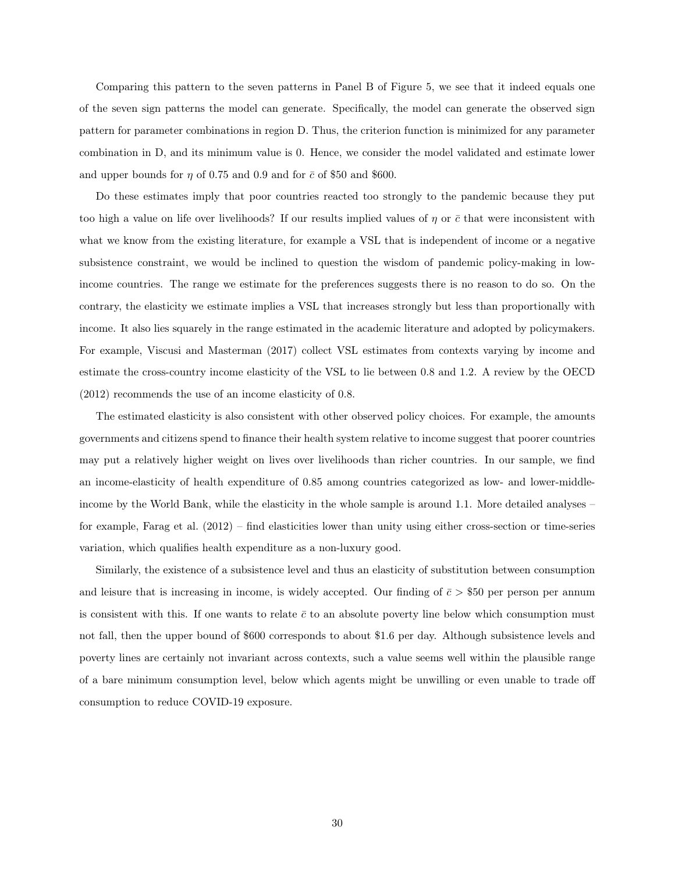Comparing this pattern to the seven patterns in Panel B of Figure 5, we see that it indeed equals one of the seven sign patterns the model can generate. Specifically, the model can generate the observed sign pattern for parameter combinations in region D. Thus, the criterion function is minimized for any parameter combination in D, and its minimum value is 0. Hence, we consider the model validated and estimate lower and upper bounds for  $\eta$  of 0.75 and 0.9 and for  $\bar{c}$  of \$50 and \$600.

Do these estimates imply that poor countries reacted too strongly to the pandemic because they put too high a value on life over livelihoods? If our results implied values of  $\eta$  or  $\bar{c}$  that were inconsistent with what we know from the existing literature, for example a VSL that is independent of income or a negative subsistence constraint, we would be inclined to question the wisdom of pandemic policy-making in lowincome countries. The range we estimate for the preferences suggests there is no reason to do so. On the contrary, the elasticity we estimate implies a VSL that increases strongly but less than proportionally with income. It also lies squarely in the range estimated in the academic literature and adopted by policymakers. For example, Viscusi and Masterman (2017) collect VSL estimates from contexts varying by income and estimate the cross-country income elasticity of the VSL to lie between 0.8 and 1.2. A review by the OECD (2012) recommends the use of an income elasticity of 0.8.

The estimated elasticity is also consistent with other observed policy choices. For example, the amounts governments and citizens spend to finance their health system relative to income suggest that poorer countries may put a relatively higher weight on lives over livelihoods than richer countries. In our sample, we find an income-elasticity of health expenditure of 0.85 among countries categorized as low- and lower-middleincome by the World Bank, while the elasticity in the whole sample is around 1.1. More detailed analyses – for example, Farag et al. (2012) – find elasticities lower than unity using either cross-section or time-series variation, which qualifies health expenditure as a non-luxury good.

Similarly, the existence of a subsistence level and thus an elasticity of substitution between consumption and leisure that is increasing in income, is widely accepted. Our finding of  $\bar{c} > $50$  per person per annum is consistent with this. If one wants to relate  $\bar{c}$  to an absolute poverty line below which consumption must not fall, then the upper bound of \$600 corresponds to about \$1.6 per day. Although subsistence levels and poverty lines are certainly not invariant across contexts, such a value seems well within the plausible range of a bare minimum consumption level, below which agents might be unwilling or even unable to trade off consumption to reduce COVID-19 exposure.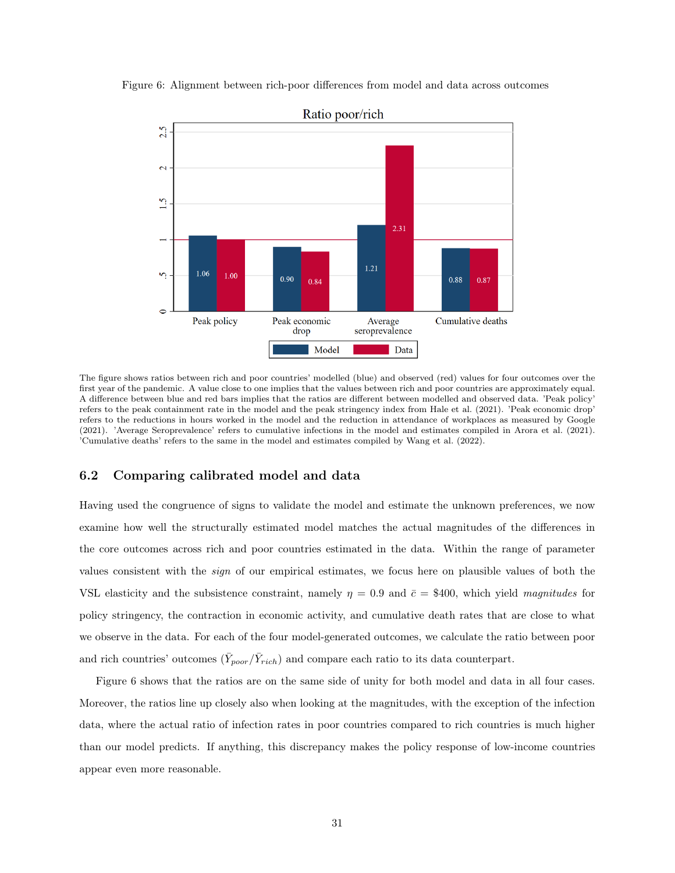

Figure 6: Alignment between rich-poor differences from model and data across outcomes

The figure shows ratios between rich and poor countries' modelled (blue) and observed (red) values for four outcomes over the first year of the pandemic. A value close to one implies that the values between rich and poor countries are approximately equal. A difference between blue and red bars implies that the ratios are different between modelled and observed data. 'Peak policy' refers to the peak containment rate in the model and the peak stringency index from Hale et al. (2021). 'Peak economic drop' refers to the reductions in hours worked in the model and the reduction in attendance of workplaces as measured by Google (2021). 'Average Seroprevalence' refers to cumulative infections in the model and estimates compiled in Arora et al. (2021). 'Cumulative deaths' refers to the same in the model and estimates compiled by Wang et al. (2022).

## 6.2 Comparing calibrated model and data

Having used the congruence of signs to validate the model and estimate the unknown preferences, we now examine how well the structurally estimated model matches the actual magnitudes of the differences in the core outcomes across rich and poor countries estimated in the data. Within the range of parameter values consistent with the sign of our empirical estimates, we focus here on plausible values of both the VSL elasticity and the subsistence constraint, namely  $\eta = 0.9$  and  $\bar{c} = $400$ , which yield magnitudes for policy stringency, the contraction in economic activity, and cumulative death rates that are close to what we observe in the data. For each of the four model-generated outcomes, we calculate the ratio between poor and rich countries' outcomes  $(\bar{Y}_{poor}/\bar{Y}_{rich})$  and compare each ratio to its data counterpart.

Figure 6 shows that the ratios are on the same side of unity for both model and data in all four cases. Moreover, the ratios line up closely also when looking at the magnitudes, with the exception of the infection data, where the actual ratio of infection rates in poor countries compared to rich countries is much higher than our model predicts. If anything, this discrepancy makes the policy response of low-income countries appear even more reasonable.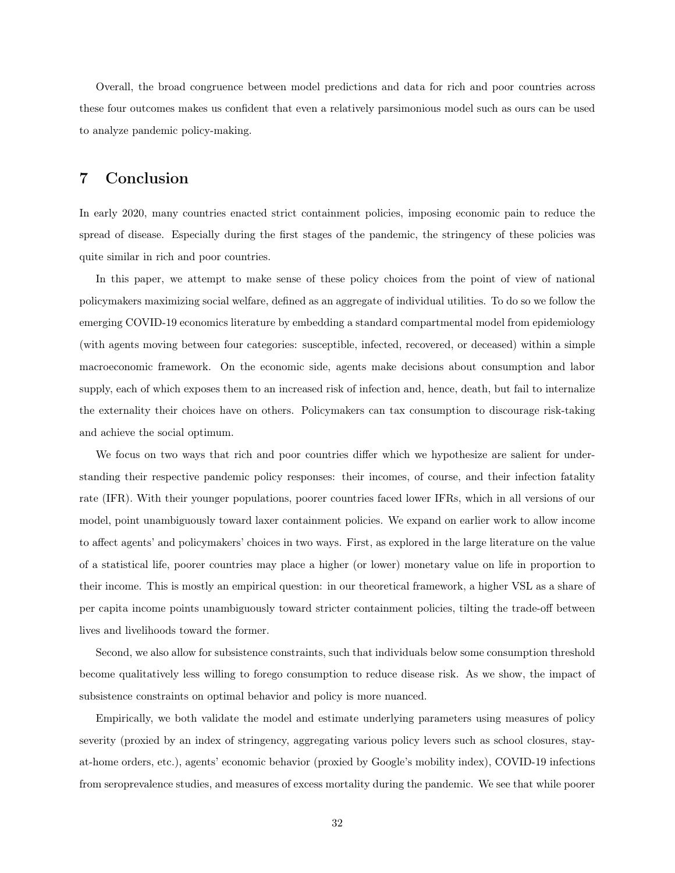Overall, the broad congruence between model predictions and data for rich and poor countries across these four outcomes makes us confident that even a relatively parsimonious model such as ours can be used to analyze pandemic policy-making.

## 7 Conclusion

In early 2020, many countries enacted strict containment policies, imposing economic pain to reduce the spread of disease. Especially during the first stages of the pandemic, the stringency of these policies was quite similar in rich and poor countries.

In this paper, we attempt to make sense of these policy choices from the point of view of national policymakers maximizing social welfare, defined as an aggregate of individual utilities. To do so we follow the emerging COVID-19 economics literature by embedding a standard compartmental model from epidemiology (with agents moving between four categories: susceptible, infected, recovered, or deceased) within a simple macroeconomic framework. On the economic side, agents make decisions about consumption and labor supply, each of which exposes them to an increased risk of infection and, hence, death, but fail to internalize the externality their choices have on others. Policymakers can tax consumption to discourage risk-taking and achieve the social optimum.

We focus on two ways that rich and poor countries differ which we hypothesize are salient for understanding their respective pandemic policy responses: their incomes, of course, and their infection fatality rate (IFR). With their younger populations, poorer countries faced lower IFRs, which in all versions of our model, point unambiguously toward laxer containment policies. We expand on earlier work to allow income to affect agents' and policymakers' choices in two ways. First, as explored in the large literature on the value of a statistical life, poorer countries may place a higher (or lower) monetary value on life in proportion to their income. This is mostly an empirical question: in our theoretical framework, a higher VSL as a share of per capita income points unambiguously toward stricter containment policies, tilting the trade-off between lives and livelihoods toward the former.

Second, we also allow for subsistence constraints, such that individuals below some consumption threshold become qualitatively less willing to forego consumption to reduce disease risk. As we show, the impact of subsistence constraints on optimal behavior and policy is more nuanced.

Empirically, we both validate the model and estimate underlying parameters using measures of policy severity (proxied by an index of stringency, aggregating various policy levers such as school closures, stayat-home orders, etc.), agents' economic behavior (proxied by Google's mobility index), COVID-19 infections from seroprevalence studies, and measures of excess mortality during the pandemic. We see that while poorer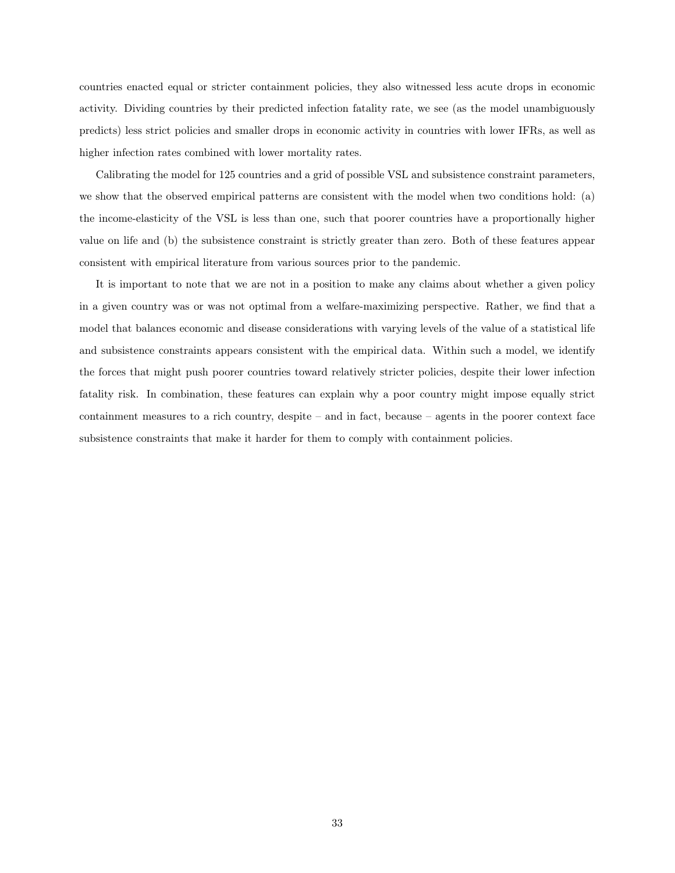countries enacted equal or stricter containment policies, they also witnessed less acute drops in economic activity. Dividing countries by their predicted infection fatality rate, we see (as the model unambiguously predicts) less strict policies and smaller drops in economic activity in countries with lower IFRs, as well as higher infection rates combined with lower mortality rates.

Calibrating the model for 125 countries and a grid of possible VSL and subsistence constraint parameters, we show that the observed empirical patterns are consistent with the model when two conditions hold: (a) the income-elasticity of the VSL is less than one, such that poorer countries have a proportionally higher value on life and (b) the subsistence constraint is strictly greater than zero. Both of these features appear consistent with empirical literature from various sources prior to the pandemic.

It is important to note that we are not in a position to make any claims about whether a given policy in a given country was or was not optimal from a welfare-maximizing perspective. Rather, we find that a model that balances economic and disease considerations with varying levels of the value of a statistical life and subsistence constraints appears consistent with the empirical data. Within such a model, we identify the forces that might push poorer countries toward relatively stricter policies, despite their lower infection fatality risk. In combination, these features can explain why a poor country might impose equally strict containment measures to a rich country, despite – and in fact, because – agents in the poorer context face subsistence constraints that make it harder for them to comply with containment policies.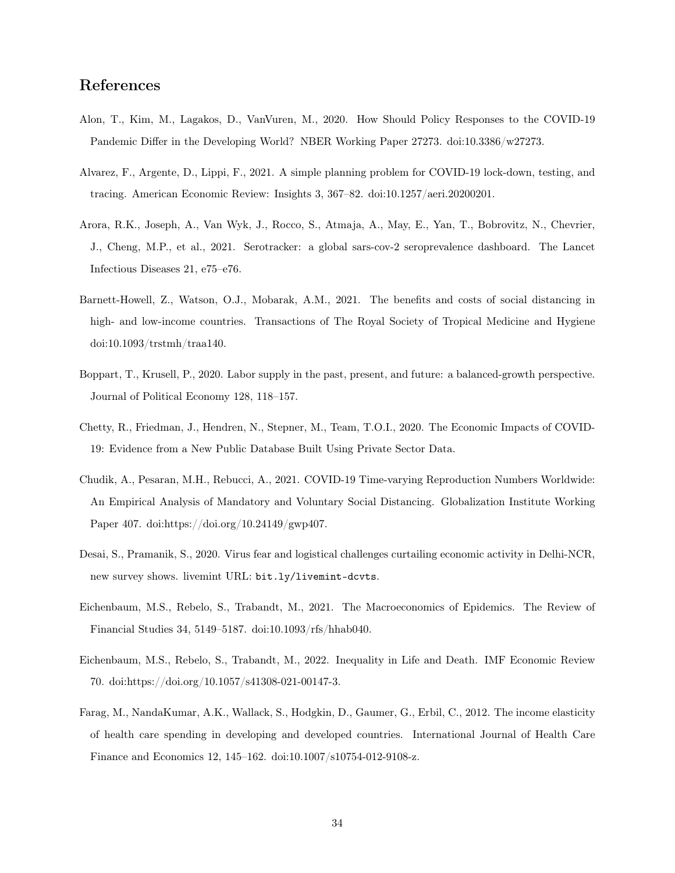## References

- Alon, T., Kim, M., Lagakos, D., VanVuren, M., 2020. How Should Policy Responses to the COVID-19 Pandemic Differ in the Developing World? NBER Working Paper 27273. doi:10.3386/w27273.
- Alvarez, F., Argente, D., Lippi, F., 2021. A simple planning problem for COVID-19 lock-down, testing, and tracing. American Economic Review: Insights 3, 367–82. doi:10.1257/aeri.20200201.
- Arora, R.K., Joseph, A., Van Wyk, J., Rocco, S., Atmaja, A., May, E., Yan, T., Bobrovitz, N., Chevrier, J., Cheng, M.P., et al., 2021. Serotracker: a global sars-cov-2 seroprevalence dashboard. The Lancet Infectious Diseases 21, e75–e76.
- Barnett-Howell, Z., Watson, O.J., Mobarak, A.M., 2021. The benefits and costs of social distancing in high- and low-income countries. Transactions of The Royal Society of Tropical Medicine and Hygiene doi:10.1093/trstmh/traa140.
- Boppart, T., Krusell, P., 2020. Labor supply in the past, present, and future: a balanced-growth perspective. Journal of Political Economy 128, 118–157.
- Chetty, R., Friedman, J., Hendren, N., Stepner, M., Team, T.O.I., 2020. The Economic Impacts of COVID-19: Evidence from a New Public Database Built Using Private Sector Data.
- Chudik, A., Pesaran, M.H., Rebucci, A., 2021. COVID-19 Time-varying Reproduction Numbers Worldwide: An Empirical Analysis of Mandatory and Voluntary Social Distancing. Globalization Institute Working Paper 407. doi:https://doi.org/10.24149/gwp407.
- Desai, S., Pramanik, S., 2020. Virus fear and logistical challenges curtailing economic activity in Delhi-NCR, new survey shows. livemint URL: bit.ly/livemint-dcvts.
- Eichenbaum, M.S., Rebelo, S., Trabandt, M., 2021. The Macroeconomics of Epidemics. The Review of Financial Studies 34, 5149–5187. doi:10.1093/rfs/hhab040.
- Eichenbaum, M.S., Rebelo, S., Trabandt, M., 2022. Inequality in Life and Death. IMF Economic Review 70. doi:https://doi.org/10.1057/s41308-021-00147-3.
- Farag, M., NandaKumar, A.K., Wallack, S., Hodgkin, D., Gaumer, G., Erbil, C., 2012. The income elasticity of health care spending in developing and developed countries. International Journal of Health Care Finance and Economics 12, 145–162. doi:10.1007/s10754-012-9108-z.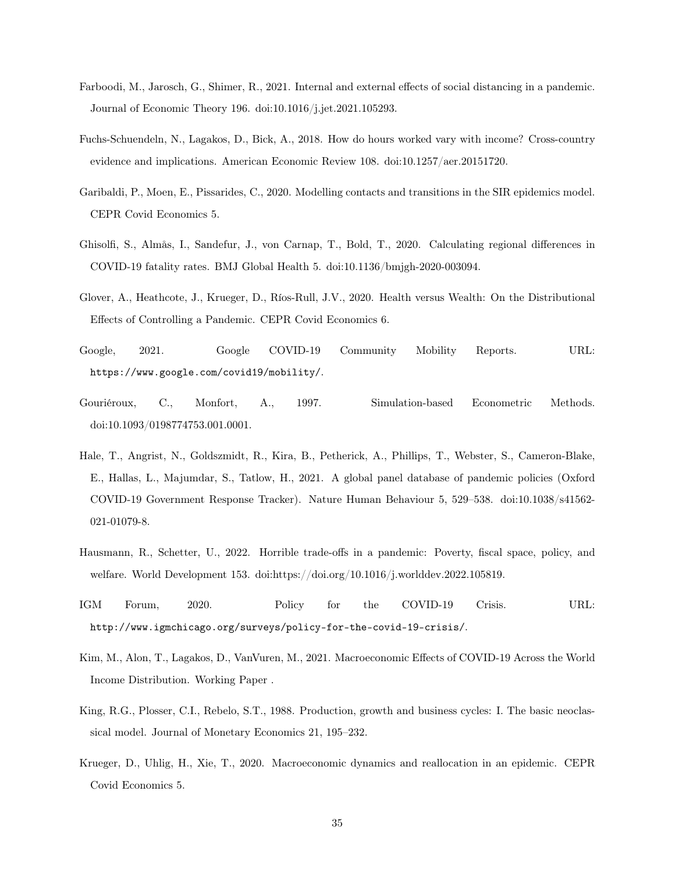- Farboodi, M., Jarosch, G., Shimer, R., 2021. Internal and external effects of social distancing in a pandemic. Journal of Economic Theory 196. doi:10.1016/j.jet.2021.105293.
- Fuchs-Schuendeln, N., Lagakos, D., Bick, A., 2018. How do hours worked vary with income? Cross-country evidence and implications. American Economic Review 108. doi:10.1257/aer.20151720.
- Garibaldi, P., Moen, E., Pissarides, C., 2020. Modelling contacts and transitions in the SIR epidemics model. CEPR Covid Economics 5.
- Ghisolfi, S., Almås, I., Sandefur, J., von Carnap, T., Bold, T., 2020. Calculating regional differences in COVID-19 fatality rates. BMJ Global Health 5. doi:10.1136/bmjgh-2020-003094.
- Glover, A., Heathcote, J., Krueger, D., Ríos-Rull, J.V., 2020. Health versus Wealth: On the Distributional Effects of Controlling a Pandemic. CEPR Covid Economics 6.
- Google, 2021. Google COVID-19 Community Mobility Reports. URL: https://www.google.com/covid19/mobility/.
- Gouriéroux, C., Monfort, A., 1997. Simulation-based Econometric Methods. doi:10.1093/0198774753.001.0001.
- Hale, T., Angrist, N., Goldszmidt, R., Kira, B., Petherick, A., Phillips, T., Webster, S., Cameron-Blake, E., Hallas, L., Majumdar, S., Tatlow, H., 2021. A global panel database of pandemic policies (Oxford COVID-19 Government Response Tracker). Nature Human Behaviour 5, 529–538. doi:10.1038/s41562- 021-01079-8.
- Hausmann, R., Schetter, U., 2022. Horrible trade-offs in a pandemic: Poverty, fiscal space, policy, and welfare. World Development 153. doi:https://doi.org/10.1016/j.worlddev.2022.105819.
- IGM Forum, 2020. Policy for the COVID-19 Crisis. URL: http://www.igmchicago.org/surveys/policy-for-the-covid-19-crisis/.
- Kim, M., Alon, T., Lagakos, D., VanVuren, M., 2021. Macroeconomic Effects of COVID-19 Across the World Income Distribution. Working Paper .
- King, R.G., Plosser, C.I., Rebelo, S.T., 1988. Production, growth and business cycles: I. The basic neoclassical model. Journal of Monetary Economics 21, 195–232.
- Krueger, D., Uhlig, H., Xie, T., 2020. Macroeconomic dynamics and reallocation in an epidemic. CEPR Covid Economics 5.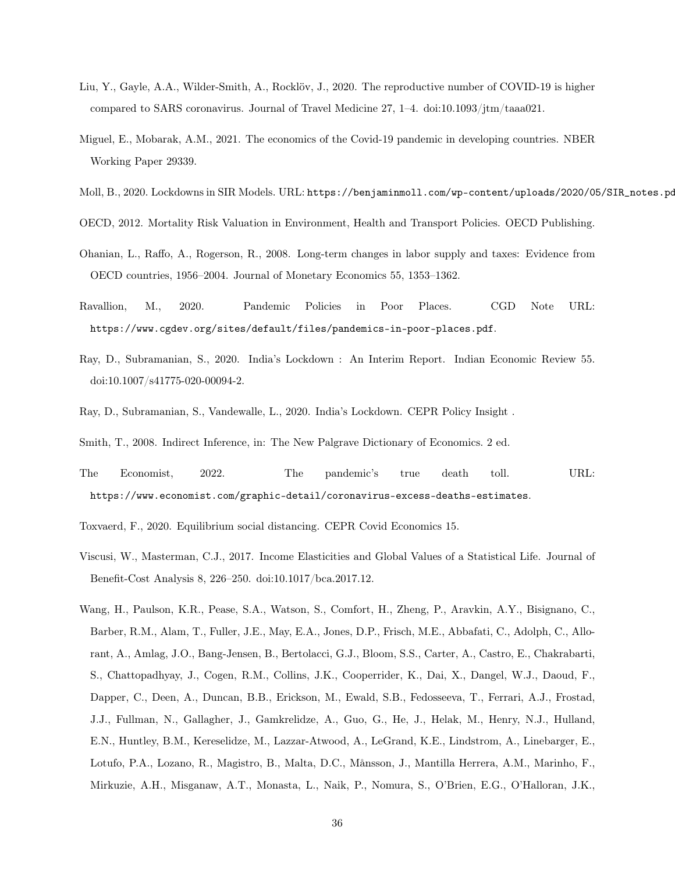- Liu, Y., Gayle, A.A., Wilder-Smith, A., Rocklöv, J., 2020. The reproductive number of COVID-19 is higher compared to SARS coronavirus. Journal of Travel Medicine 27, 1–4. doi:10.1093/jtm/taaa021.
- Miguel, E., Mobarak, A.M., 2021. The economics of the Covid-19 pandemic in developing countries. NBER Working Paper 29339.
- Moll, B., 2020. Lockdowns in SIR Models. URL: https://benjaminmoll.com/wp-content/uploads/2020/05/SIR\_notes.pdf.
- OECD, 2012. Mortality Risk Valuation in Environment, Health and Transport Policies. OECD Publishing.
- Ohanian, L., Raffo, A., Rogerson, R., 2008. Long-term changes in labor supply and taxes: Evidence from OECD countries, 1956–2004. Journal of Monetary Economics 55, 1353–1362.
- Ravallion, M., 2020. Pandemic Policies in Poor Places. CGD Note URL: https://www.cgdev.org/sites/default/files/pandemics-in-poor-places.pdf.
- Ray, D., Subramanian, S., 2020. India's Lockdown : An Interim Report. Indian Economic Review 55. doi:10.1007/s41775-020-00094-2.
- Ray, D., Subramanian, S., Vandewalle, L., 2020. India's Lockdown. CEPR Policy Insight .
- Smith, T., 2008. Indirect Inference, in: The New Palgrave Dictionary of Economics. 2 ed.
- The Economist, 2022. The pandemic's true death toll. URL: https://www.economist.com/graphic-detail/coronavirus-excess-deaths-estimates.
- Toxvaerd, F., 2020. Equilibrium social distancing. CEPR Covid Economics 15.
- Viscusi, W., Masterman, C.J., 2017. Income Elasticities and Global Values of a Statistical Life. Journal of Benefit-Cost Analysis 8, 226–250. doi:10.1017/bca.2017.12.
- Wang, H., Paulson, K.R., Pease, S.A., Watson, S., Comfort, H., Zheng, P., Aravkin, A.Y., Bisignano, C., Barber, R.M., Alam, T., Fuller, J.E., May, E.A., Jones, D.P., Frisch, M.E., Abbafati, C., Adolph, C., Allorant, A., Amlag, J.O., Bang-Jensen, B., Bertolacci, G.J., Bloom, S.S., Carter, A., Castro, E., Chakrabarti, S., Chattopadhyay, J., Cogen, R.M., Collins, J.K., Cooperrider, K., Dai, X., Dangel, W.J., Daoud, F., Dapper, C., Deen, A., Duncan, B.B., Erickson, M., Ewald, S.B., Fedosseeva, T., Ferrari, A.J., Frostad, J.J., Fullman, N., Gallagher, J., Gamkrelidze, A., Guo, G., He, J., Helak, M., Henry, N.J., Hulland, E.N., Huntley, B.M., Kereselidze, M., Lazzar-Atwood, A., LeGrand, K.E., Lindstrom, A., Linebarger, E., Lotufo, P.A., Lozano, R., Magistro, B., Malta, D.C., Månsson, J., Mantilla Herrera, A.M., Marinho, F., Mirkuzie, A.H., Misganaw, A.T., Monasta, L., Naik, P., Nomura, S., O'Brien, E.G., O'Halloran, J.K.,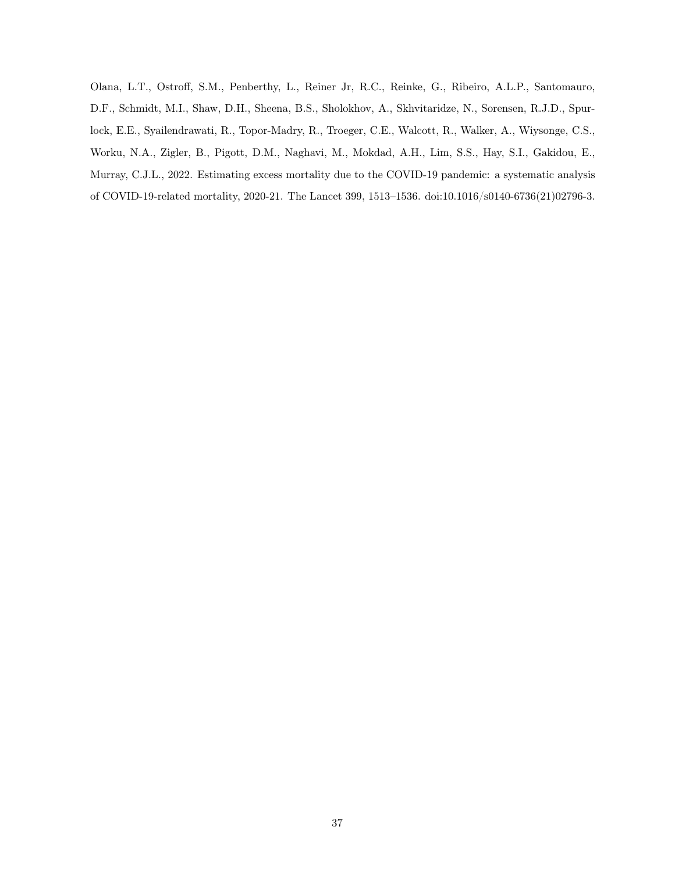Olana, L.T., Ostroff, S.M., Penberthy, L., Reiner Jr, R.C., Reinke, G., Ribeiro, A.L.P., Santomauro, D.F., Schmidt, M.I., Shaw, D.H., Sheena, B.S., Sholokhov, A., Skhvitaridze, N., Sorensen, R.J.D., Spurlock, E.E., Syailendrawati, R., Topor-Madry, R., Troeger, C.E., Walcott, R., Walker, A., Wiysonge, C.S., Worku, N.A., Zigler, B., Pigott, D.M., Naghavi, M., Mokdad, A.H., Lim, S.S., Hay, S.I., Gakidou, E., Murray, C.J.L., 2022. Estimating excess mortality due to the COVID-19 pandemic: a systematic analysis of COVID-19-related mortality, 2020-21. The Lancet 399, 1513–1536. doi:10.1016/s0140-6736(21)02796-3.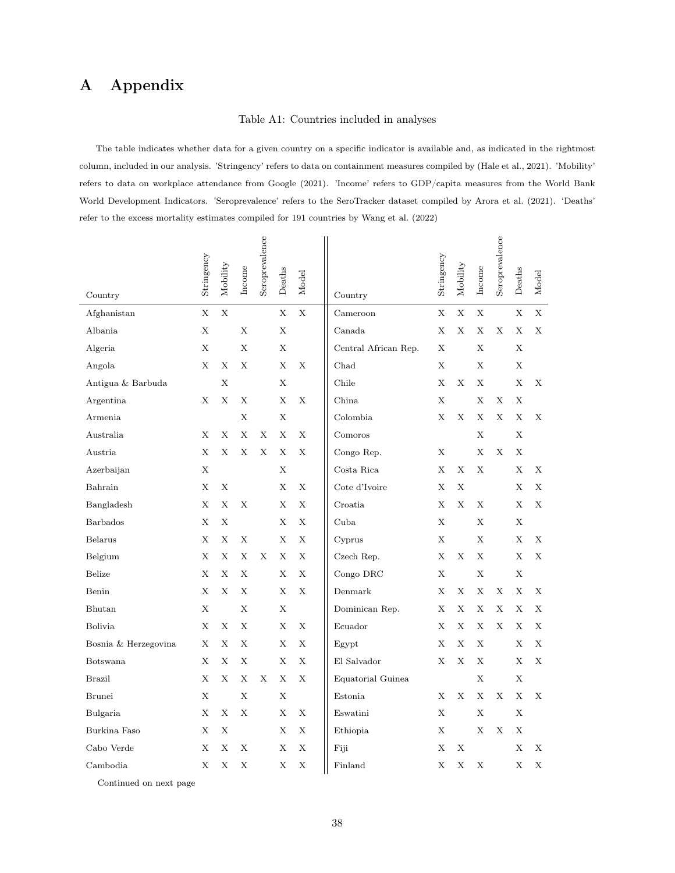# A Appendix

#### Table A1: Countries included in analyses

The table indicates whether data for a given country on a specific indicator is available and, as indicated in the rightmost column, included in our analysis. 'Stringency' refers to data on containment measures compiled by (Hale et al., 2021). 'Mobility' refers to data on workplace attendance from Google (2021). 'Income' refers to GDP/capita measures from the World Bank World Development Indicators. 'Seroprevalence' refers to the SeroTracker dataset compiled by Arora et al. (2021). 'Deaths' refer to the excess mortality estimates compiled for 191 countries by Wang et al. (2022)

|                      | Stringency  | Mobility    | Income | Seroprevalence | Deaths      | Model       |                        | Stringency | Mobility    | Income | Seroprevalence | Deaths      | Model |
|----------------------|-------------|-------------|--------|----------------|-------------|-------------|------------------------|------------|-------------|--------|----------------|-------------|-------|
| Country              |             |             |        |                |             |             | Country                |            |             |        |                |             |       |
| Afghanistan          | $\bar{X}$   | X           |        |                | $\mathbf X$ | X           | Cameroon               | X          | $\mathbf X$ | X      |                | X           | X     |
| Albania              | X           |             | Х      |                | X           |             | Canada                 | X          | X           | Х      | X              | X           | X     |
| Algeria              | Х           |             | Х      |                | X           |             | Central African Rep.   | Х          |             | Х      |                | $\mathbf X$ |       |
| Angola               | X           | X           | X      |                | X           | X           | Chad                   | X          |             | X      |                | X           |       |
| Antigua & Barbuda    |             | X           |        |                | $\mathbf X$ |             | Chile                  | X          | X           | Х      |                | X           | X     |
| Argentina            | Χ           | X           | X      |                | X           | X           | China                  | X          |             | Х      | X              | X           |       |
| Armenia              |             |             | X      |                | X           |             | Colombia               | Х          | X           | Х      | X              | X           | X     |
| Australia            | X           | X           | X      | X              | X           | X           | Comoros                |            |             | X      |                | X           |       |
| Austria              | X           | X           | Х      | X              | X           | X           | Congo Rep.             | X          |             | Х      | X              | X           |       |
| Azerbaijan           | Χ           |             |        |                | X           |             | $\rm Costa$ $\rm Rica$ | Х          | X           | Х      |                | $\bar{X}$   | X     |
| Bahrain              | X           | $\mathbf X$ |        |                | X           | $\mathbf X$ | Cote d'Ivoire          | X          | X           |        |                | X           | X     |
| Bangladesh           | X           | X           | X      |                | X           | X           | Croatia                | X          | X           | Х      |                | X           | X     |
| Barbados             | X           | X           |        |                | X           | X           | Cuba                   | X          |             | Х      |                | X           |       |
| Belarus              | Х           | X           | X      |                | X           | X           | Cyprus                 | Х          |             | Х      |                | X           | X     |
| Belgium              | X           | X           | X      | X              | X           | X           | Czech Rep.             | X          | X           | Х      |                | X           | X     |
| Belize               | X           | X           | X      |                | X           | X           | Congo DRC              | X          |             | Х      |                | X           |       |
| Benin                | Х           | X           | Х      |                | $\mathbf X$ | X           | Denmark                | Х          | Х           | Х      | Х              | X           | Χ     |
| Bhutan               | $\mathbf X$ |             | Х      |                | X           |             | Dominican Rep.         | X          | X           | X      | X              | X           | X     |
| Bolivia              | X           | X           | X      |                | X           | X           | Ecuador                | X          | X           | X      | X              | X           | X     |
| Bosnia & Herzegovina | Х           | X           | X      |                | X           | X           | Egypt                  | X          | X           | Х      |                | X           | X     |
| Botswana             | X           | X           | X      |                | X           | X           | El Salvador            | X          | X           | Х      |                | X           | X     |
| <b>Brazil</b>        | X           | X           | X      | X              | X           | X           | Equatorial Guinea      |            |             | Х      |                | X           |       |
| <b>Brunei</b>        | X           |             | X      |                | X           |             | Estonia                | X          | X           | X      | X              | X           | X     |
| Bulgaria             | X           | X           | X      |                | $\mathbf X$ | X           | Eswatini               | X          |             | X      |                | X           |       |
| Burkina Faso         | X           | X           |        |                | X           | X           | Ethiopia               | X          |             | X      | X              | X           |       |
| Cabo Verde           | Х           | X           | X      |                | X           | X           | Fiji                   | Х          | X           |        |                | X           | X     |
| Cambodia             | X           | X           | X      |                | X           | X           | Finland                | X          | X           | X      |                | X           | X     |

Continued on next page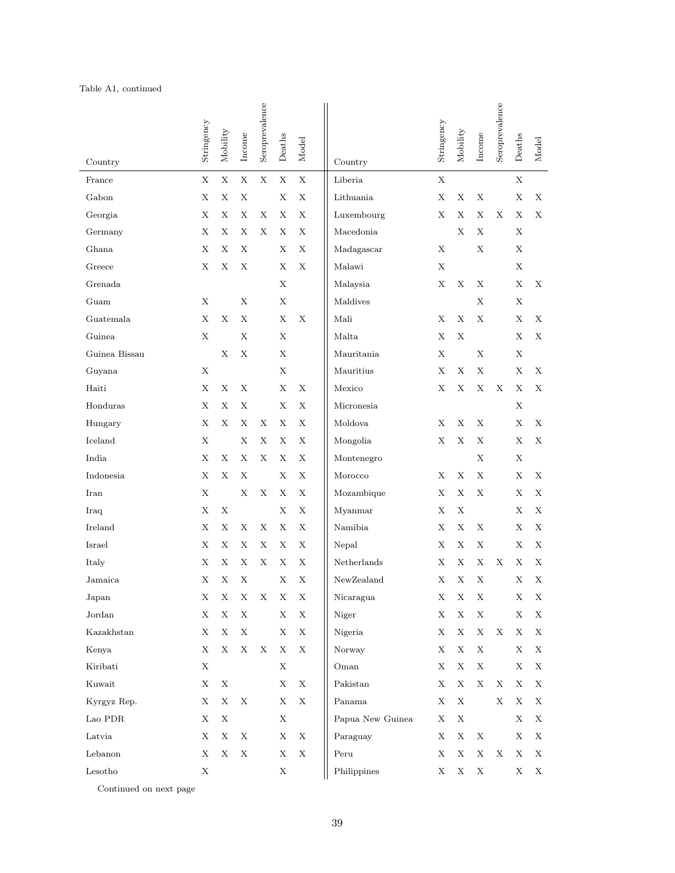## Table A1, continued

| Country                     | Stringency  | Mobility    | $In \mbox{come}$ | Seroprevalence | Deaths      | Model       | Country          | Stringency  | Mobility    | Income      | Seroprevalence | Deaths      | Model       |
|-----------------------------|-------------|-------------|------------------|----------------|-------------|-------------|------------------|-------------|-------------|-------------|----------------|-------------|-------------|
| France                      | $\mathbf X$ | X           | $\mathbf X$      | $\mathbf X$    | $\mathbf X$ | $\mathbf X$ | Liberia          | $\mathbf X$ |             |             |                | $\mathbf X$ |             |
| Gabon                       | Х           | X           | Χ                |                | X           | $\mathbf X$ | Lithuania        | Х           | Х           | Х           |                | X           | Χ           |
| Georgia                     | Х           | Х           | Χ                | Х              | Х           | X           | Luxembourg       | X           | Х           | Х           | Χ              | Х           | X           |
| Germany                     | Х           | Х           | Χ                | Х              | Χ           | $\mathbf X$ | Macedonia        |             | $\mathbf X$ | Χ           |                | $\mathbf X$ |             |
| Ghana                       | Х           | Х           | Χ                |                | Χ           | X           | Madagascar       | Х           |             | Χ           |                | X           |             |
| Greece                      | Х           | Х           | Χ                |                | X           | $\mathbf X$ | Malawi           | Х           |             |             |                | $\mathbf X$ |             |
| Grenada                     |             |             |                  |                | Χ           |             | Malaysia         | Х           | Χ           | Χ           |                | Х           | Χ           |
| Guam                        | Χ           |             | Χ                |                | X           |             | Maldives         |             |             | $\mathbf X$ |                | $\mathbf X$ |             |
| Guatemala                   | X           | Х           | Χ                |                | Χ           | $\mathbf X$ | Mali             | Х           | Х           | Χ           |                | X           | X           |
| Guinea                      | Χ           |             | Χ                |                | X           |             | Malta            | Х           | $\mathbf X$ |             |                | X           | Χ           |
| Guinea Bissau               |             | X           | Χ                |                | Χ           |             | Mauritania       | Х           |             | Χ           |                | Χ           |             |
| Guyana                      | Χ           |             |                  |                | $\mathbf X$ |             | Mauritius        | Х           | Х           | Х           |                | $\mathbf X$ | Χ           |
| Haiti                       | Х           | X           | Χ                |                | Χ           | X           | Mexico           | X           | Х           | Χ           | Χ              | X           | X           |
| Honduras                    | Х           | Х           | Χ                |                | X           | $\mathbf X$ | Micronesia       |             |             |             |                | X           |             |
| Hungary                     | Χ           | Х           | Χ                | Х              | Χ           | X           | Moldova          | X           | Х           | Х           |                | X           | X           |
| Iceland                     | Х           |             | Χ                | Х              | X           | X           | Mongolia         | Х           | Х           | Χ           |                | Χ           | $\mathbf X$ |
| India                       | X           | Х           | Χ                | Х              | Х           | X           | Montenegro       |             |             | $\mathbf X$ |                | X           |             |
| Indonesia                   | Х           | Х           | Χ                |                | X           | $\mathbf X$ | Morocco          | X           | Х           | Х           |                | Х           | Χ           |
| Iran                        | Х           |             | X                | Х              | $\mathbf X$ | X           | Mozambique       | Х           | Х           | Х           |                | Х           | X           |
| Iraq                        | Х           | Х           |                  |                | X           | $\mathbf X$ | Myanmar          | Х           | Х           |             |                | Х           | Χ           |
| Ireland                     | X           | Х           | X                | X              | X           | X           | Namibia          | X           | X           | Х           |                | Χ           | X           |
| Israel                      | Х           | Х           | Χ                | Х              | Х           | $\mathbf X$ | Nepal            | Х           | Х           | Х           |                | Х           | Х           |
| Italy                       | Х           | Х           | Χ                | Х              | Χ           | Х           | Netherlands      | X           | X           | Х           | X              | Х           | Χ           |
| Jamaica                     | Х           | Х           | Χ                |                | Х           | $\mathbf X$ | NewZealand       | Х           | Х           | Х           |                | Х           | Х           |
| ${\rm Japan}$               | X           | $\mathbf X$ | $\mathbf X$      | X              | $\mathbf X$ | $\mathbf X$ | Nicaragua        | $\mathbf X$ | $\mathbf X$ | $\mathbf X$ |                | $\mathbf X$ | $\mathbf X$ |
| Jordan                      | X           | X           | X                |                | X           | X           | Niger            | Х           | X           | Χ           |                | X           | Х           |
| $\operatorname{Kazakhstan}$ | X           | X           | $\mathbf X$      |                | $\mathbf X$ | $\mathbf X$ | Nigeria          | X           | $\mathbf X$ | $\mathbf X$ | X              | X           | X           |
| Kenya                       | X           | X           | X                | Х              | X           | $\mathbf X$ | Norway           | X           | X           | X           |                | X           | X           |
| Kiribati                    | X           |             |                  |                | $\mathbf X$ |             | Oman             | X           | $\mathbf X$ | X           |                | X           | X           |
| Kuwait                      | X           | X           |                  |                | X           | X           | Pakistan         | X           | X           | X           | X              | X           | X           |
| Kyrgyz Rep.                 | X           | X           | X                |                | X           | $\mathbf X$ | Panama           | X           | X           |             | X              | X           | X           |
| Lao PDR                     | X           | X           |                  |                | $\mathbf X$ |             | Papua New Guinea | X           | $\mathbf X$ |             |                | X           | X           |
| Latvia                      | X           | X           | X                |                | X           | $\mathbf X$ | Paraguay         | Х           | X           | X           |                | X           | X           |
| Lebanon                     | Х           | X           | X                |                | X           | $\mathbf X$ | Peru             | Х           | X           | X           | X              | X           | X           |
| Lesotho                     | $\mathbf X$ |             |                  |                | $\mathbf X$ |             | Philippines      | X           | $\mathbf X$ | $\mathbf X$ |                | X           | $\mathbf X$ |

Continued on next page